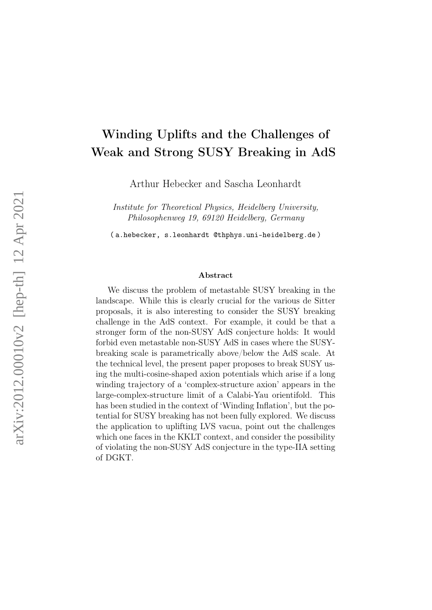# Winding Uplifts and the Challenges of Weak and Strong SUSY Breaking in AdS

Arthur Hebecker and Sascha Leonhardt

Institute for Theoretical Physics, Heidelberg University, Philosophenweg 19, 69120 Heidelberg, Germany

( a.hebecker, s.leonhardt @thphys.uni-heidelberg.de )

#### Abstract

We discuss the problem of metastable SUSY breaking in the landscape. While this is clearly crucial for the various de Sitter proposals, it is also interesting to consider the SUSY breaking challenge in the AdS context. For example, it could be that a stronger form of the non-SUSY AdS conjecture holds: It would forbid even metastable non-SUSY AdS in cases where the SUSYbreaking scale is parametrically above/below the AdS scale. At the technical level, the present paper proposes to break SUSY using the multi-cosine-shaped axion potentials which arise if a long winding trajectory of a 'complex-structure axion' appears in the large-complex-structure limit of a Calabi-Yau orientifold. This has been studied in the context of 'Winding Inflation', but the potential for SUSY breaking has not been fully explored. We discuss the application to uplifting LVS vacua, point out the challenges which one faces in the KKLT context, and consider the possibility of violating the non-SUSY AdS conjecture in the type-IIA setting of DGKT.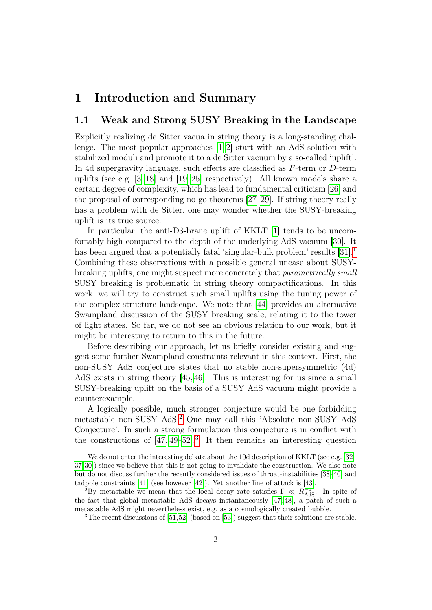### 1 Introduction and Summary

#### 1.1 Weak and Strong SUSY Breaking in the Landscape

Explicitly realizing de Sitter vacua in string theory is a long-standing challenge. The most popular approaches [\[1,](#page-24-0) [2\]](#page-24-1) start with an AdS solution with stabilized moduli and promote it to a de Sitter vacuum by a so-called 'uplift'. In 4d supergravity language, such effects are classified as F-term or D-term uplifts (see e.g. [\[3–](#page-24-2)[18\]](#page-25-0) and [\[19–](#page-25-1)[25\]](#page-26-0) respectively). All known models share a certain degree of complexity, which has lead to fundamental criticism [\[26\]](#page-26-1) and the proposal of corresponding no-go theorems [\[27](#page-26-2)[–29\]](#page-26-3). If string theory really has a problem with de Sitter, one may wonder whether the SUSY-breaking uplift is its true source.

In particular, the anti-D3-brane uplift of KKLT [\[1\]](#page-24-0) tends to be uncomfortably high compared to the depth of the underlying AdS vacuum [\[30\]](#page-26-4). It has been argued that a potentially fatal 'singular-bulk problem' results [\[31\]](#page-26-5).<sup>[1](#page-1-0)</sup> Combining these observations with a possible general unease about SUSYbreaking uplifts, one might suspect more concretely that parametrically small SUSY breaking is problematic in string theory compactifications. In this work, we will try to construct such small uplifts using the tuning power of the complex-structure landscape. We note that [\[44\]](#page-27-0) provides an alternative Swampland discussion of the SUSY breaking scale, relating it to the tower of light states. So far, we do not see an obvious relation to our work, but it might be interesting to return to this in the future.

Before describing our approach, let us briefly consider existing and suggest some further Swampland constraints relevant in this context. First, the non-SUSY AdS conjecture states that no stable non-supersymmetric (4d) AdS exists in string theory [\[45,](#page-27-1) [46\]](#page-27-2). This is interesting for us since a small SUSY-breaking uplift on the basis of a SUSY AdS vacuum might provide a counterexample.

A logically possible, much stronger conjecture would be one forbidding metastable non-SUSY AdS.[2](#page-1-1) One may call this 'Absolute non-SUSY AdS Conjecture'. In such a strong formulation this conjecture is in conflict with the constructions of  $[47, 49-52]$  $[47, 49-52]$  $[47, 49-52]$ <sup>[3](#page-1-2)</sup>. It then remains an interesting question

<span id="page-1-0"></span><sup>&</sup>lt;sup>1</sup>We do not enter the interesting debate about the 10d description of KKLT (see e.g. [\[32–](#page-26-6) [37,](#page-26-7)[30\]](#page-26-4)) since we believe that this is not going to invalidate the construction. We also note but do not discuss further the recently considered issues of throat-instabilities [\[38–](#page-26-8)[40\]](#page-27-6) and tadpole constraints [\[41\]](#page-27-7) (see however [\[42\]](#page-27-8)). Yet another line of attack is [\[43\]](#page-27-9).

<span id="page-1-1"></span><sup>&</sup>lt;sup>2</sup>By metastable we mean that the local decay rate satisfies  $\Gamma \ll R_{AdS}^{-1}$ . In spite of the fact that global metastable AdS decays instantaneously [\[47,](#page-27-3) [48\]](#page-27-10), a patch of such a metastable AdS might nevertheless exist, e.g. as a cosmologically created bubble.

<span id="page-1-2"></span><sup>&</sup>lt;sup>3</sup>The recent discussions of [\[51,](#page-27-11)[52\]](#page-27-5) (based on [\[53\]](#page-27-12)) suggest that their solutions are stable.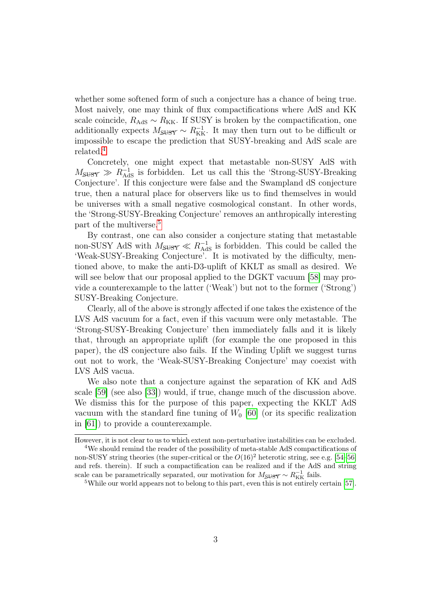whether some softened form of such a conjecture has a chance of being true. Most naively, one may think of flux compactifications where AdS and KK scale coincide,  $R_{\text{AdS}} \sim R_{\text{KK}}$ . If SUSY is broken by the compactification, one additionally expects  $M_{\text{SUSY}} \sim R_{\text{KK}}^{-1}$ . It may then turn out to be difficult or impossible to escape the prediction that SUSY-breaking and AdS scale are related.[4](#page-2-0)

Concretely, one might expect that metastable non-SUSY AdS with  $M_{\text{SUSY}} \gg R_{\text{AdS}}^{-1}$  is forbidden. Let us call this the 'Strong-SUSY-Breaking Conjecture'. If this conjecture were false and the Swampland dS conjecture true, then a natural place for observers like us to find themselves in would be universes with a small negative cosmological constant. In other words, the 'Strong-SUSY-Breaking Conjecture' removes an anthropically interesting part of the multiverse.<sup>[5](#page-2-1)</sup>

By contrast, one can also consider a conjecture stating that metastable non-SUSY AdS with  $M_{S\text{USY}} \ll R_{\text{AdS}}^{-1}$  is forbidden. This could be called the 'Weak-SUSY-Breaking Conjecture'. It is motivated by the difficulty, mentioned above, to make the anti-D3-uplift of KKLT as small as desired. We will see below that our proposal applied to the DGKT vacuum [\[58\]](#page-28-0) may provide a counterexample to the latter ('Weak') but not to the former ('Strong') SUSY-Breaking Conjecture.

Clearly, all of the above is strongly affected if one takes the existence of the LVS AdS vacuum for a fact, even if this vacuum were only metastable. The 'Strong-SUSY-Breaking Conjecture' then immediately falls and it is likely that, through an appropriate uplift (for example the one proposed in this paper), the dS conjecture also fails. If the Winding Uplift we suggest turns out not to work, the 'Weak-SUSY-Breaking Conjecture' may coexist with LVS AdS vacua.

We also note that a conjecture against the separation of KK and AdS scale [\[59\]](#page-28-1) (see also [\[33\]](#page-26-9)) would, if true, change much of the discussion above. We dismiss this for the purpose of this paper, expecting the KKLT AdS vacuum with the standard fine tuning of  $W_0$  [\[60\]](#page-28-2) (or its specific realization in [\[61\]](#page-28-3)) to provide a counterexample.

However, it is not clear to us to which extent non-perturbative instabilities can be excluded.

<span id="page-2-0"></span><sup>&</sup>lt;sup>4</sup>We should remind the reader of the possibility of meta-stable AdS compactifications of non-SUSY string theories (the super-critical or the  $O(16)^2$  heterotic string, see e.g. [\[54–](#page-28-4)[56\]](#page-28-5) and refs. therein). If such a compactification can be realized and if the AdS and string scale can be parametrically separated, our motivation for  $M_{\text{SUSY}} \sim R_{\text{KK}}^{-1}$  fails.

<span id="page-2-1"></span><sup>5</sup>While our world appears not to belong to this part, even this is not entirely certain [\[57\]](#page-28-6).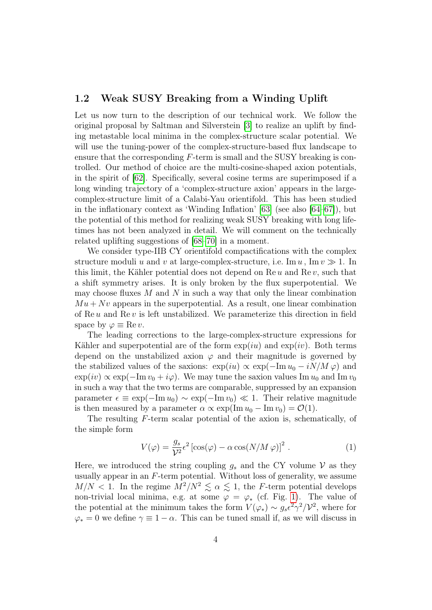#### 1.2 Weak SUSY Breaking from a Winding Uplift

Let us now turn to the description of our technical work. We follow the original proposal by Saltman and Silverstein [\[3\]](#page-24-2) to realize an uplift by finding metastable local minima in the complex-structure scalar potential. We will use the tuning-power of the complex-structure-based flux landscape to ensure that the corresponding  $F$ -term is small and the SUSY breaking is controlled. Our method of choice are the multi-cosine-shaped axion potentials, in the spirit of [\[62\]](#page-28-7). Specifically, several cosine terms are superimposed if a long winding trajectory of a 'complex-structure axion' appears in the largecomplex-structure limit of a Calabi-Yau orientifold. This has been studied in the inflationary context as 'Winding Inflation' [\[63\]](#page-28-8) (see also [\[64–](#page-28-9)[67\]](#page-29-0)), but the potential of this method for realizing weak SUSY breaking with long lifetimes has not been analyzed in detail. We will comment on the technically related uplifting suggestions of [\[68–](#page-29-1)[70\]](#page-29-2) in a moment.

We consider type-IIB CY orientifold compactifications with the complex structure moduli u and v at large-complex-structure, i.e. Im  $u$ , Im  $v \gg 1$ . In this limit, the Kähler potential does not depend on  $\text{Re } u$  and  $\text{Re } v$ , such that a shift symmetry arises. It is only broken by the flux superpotential. We may choose fluxes  $M$  and  $N$  in such a way that only the linear combination  $Mu + Nv$  appears in the superpotential. As a result, one linear combination of  $\text{Re } u$  and  $\text{Re } v$  is left unstabilized. We parameterize this direction in field space by  $\varphi \equiv \text{Re } v$ .

The leading corrections to the large-complex-structure expressions for Kähler and superpotential are of the form  $\exp(iu)$  and  $\exp(iv)$ . Both terms depend on the unstabilized axion  $\varphi$  and their magnitude is governed by the stabilized values of the saxions:  $\exp(iu) \propto \exp(-\text{Im} u_0 - iN/M \varphi)$  and  $\exp(iv) \propto \exp(-\mathrm{Im} v_0 + i\varphi)$ . We may tune the saxion values Im  $u_0$  and Im  $v_0$ in such a way that the two terms are comparable, suppressed by an expansion parameter  $\epsilon \equiv \exp(-\mathrm{Im} u_0) \sim \exp(-\mathrm{Im} v_0) \ll 1$ . Their relative magnitude is then measured by a parameter  $\alpha \propto \exp(\text{Im} u_0 - \text{Im} v_0) = \mathcal{O}(1)$ .

The resulting F-term scalar potential of the axion is, schematically, of the simple form

<span id="page-3-0"></span>
$$
V(\varphi) = \frac{g_s}{\mathcal{V}^2} \epsilon^2 \left[ \cos(\varphi) - \alpha \cos(N/M \varphi) \right]^2.
$$
 (1)

Here, we introduced the string coupling  $g_s$  and the CY volume V as they usually appear in an  $F$ -term potential. Without loss of generality, we assume  $M/N < 1$ . In the regime  $M^2/N^2 \leq \alpha \leq 1$ , the F-term potential develops non-trivial local minima, e.g. at some  $\varphi = \varphi_*$  (cf. Fig. [1\)](#page-4-0). The value of the potential at the minimum takes the form  $V(\varphi_*) \sim g_s \epsilon^2 \gamma^2/\mathcal{V}^2$ , where for  $\varphi_* = 0$  we define  $\gamma \equiv 1 - \alpha$ . This can be tuned small if, as we will discuss in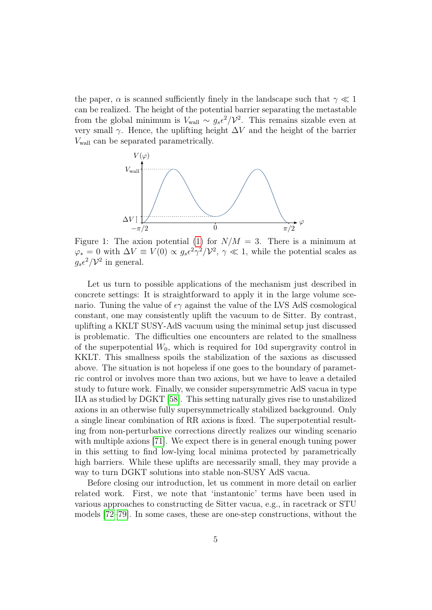the paper,  $\alpha$  is scanned sufficiently finely in the landscape such that  $\gamma \ll 1$ can be realized. The height of the potential barrier separating the metastable from the global minimum is  $V_{\text{wall}} \sim g_s \epsilon^2/\mathcal{V}^2$ . This remains sizable even at very small  $\gamma$ . Hence, the uplifting height  $\Delta V$  and the height of the barrier Vwall can be separated parametrically.

<span id="page-4-0"></span>

Figure 1: The axion potential [\(1\)](#page-3-0) for  $N/M = 3$ . There is a minimum at  $\varphi_* = 0$  with  $\Delta V \equiv V(0) \propto g_s \epsilon^2 \gamma^2 / \mathcal{V}^2$ ,  $\gamma \ll 1$ , while the potential scales as  $g_s \epsilon^2/\mathcal{V}^2$  in general.

Let us turn to possible applications of the mechanism just described in concrete settings: It is straightforward to apply it in the large volume scenario. Tuning the value of  $\epsilon \gamma$  against the value of the LVS AdS cosmological constant, one may consistently uplift the vacuum to de Sitter. By contrast, uplifting a KKLT SUSY-AdS vacuum using the minimal setup just discussed is problematic. The difficulties one encounters are related to the smallness of the superpotential  $W_0$ , which is required for 10d supergravity control in KKLT. This smallness spoils the stabilization of the saxions as discussed above. The situation is not hopeless if one goes to the boundary of parametric control or involves more than two axions, but we have to leave a detailed study to future work. Finally, we consider supersymmetric AdS vacua in type IIA as studied by DGKT [\[58\]](#page-28-0). This setting naturally gives rise to unstabilized axions in an otherwise fully supersymmetrically stabilized background. Only a single linear combination of RR axions is fixed. The superpotential resulting from non-perturbative corrections directly realizes our winding scenario with multiple axions [\[71\]](#page-29-3). We expect there is in general enough tuning power in this setting to find low-lying local minima protected by parametrically high barriers. While these uplifts are necessarily small, they may provide a way to turn DGKT solutions into stable non-SUSY AdS vacua.

Before closing our introduction, let us comment in more detail on earlier related work. First, we note that 'instantonic' terms have been used in various approaches to constructing de Sitter vacua, e.g., in racetrack or STU models [\[72–](#page-29-4)[79\]](#page-29-5). In some cases, these are one-step constructions, without the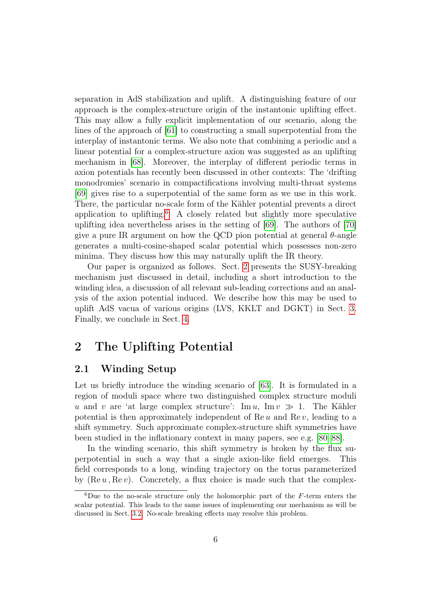separation in AdS stabilization and uplift. A distinguishing feature of our approach is the complex-structure origin of the instantonic uplifting effect. This may allow a fully explicit implementation of our scenario, along the lines of the approach of [\[61\]](#page-28-3) to constructing a small superpotential from the interplay of instantonic terms. We also note that combining a periodic and a linear potential for a complex-structure axion was suggested as an uplifting mechanism in [\[68\]](#page-29-1). Moreover, the interplay of different periodic terms in axion potentials has recently been discussed in other contexts: The 'drifting monodromies' scenario in compactifications involving multi-throat systems [\[69\]](#page-29-6) gives rise to a superpotential of the same form as we use in this work. There, the particular no-scale form of the Kähler potential prevents a direct application to uplifting.[6](#page-5-0) A closely related but slightly more speculative uplifting idea nevertheless arises in the setting of [\[69\]](#page-29-6). The authors of [\[70\]](#page-29-2) give a pure IR argument on how the QCD pion potential at general  $\theta$ -angle generates a multi-cosine-shaped scalar potential which possesses non-zero minima. They discuss how this may naturally uplift the IR theory.

Our paper is organized as follows. Sect. [2](#page-5-1) presents the SUSY-breaking mechanism just discussed in detail, including a short introduction to the winding idea, a discussion of all relevant sub-leading corrections and an analysis of the axion potential induced. We describe how this may be used to uplift AdS vacua of various origins (LVS, KKLT and DGKT) in Sect. [3.](#page-13-0) Finally, we conclude in Sect. [4.](#page-22-0)

### <span id="page-5-1"></span>2 The Uplifting Potential

### <span id="page-5-2"></span>2.1 Winding Setup

Let us briefly introduce the winding scenario of [\[63\]](#page-28-8). It is formulated in a region of moduli space where two distinguished complex structure moduli u and v are 'at large complex structure': Im u, Im  $v \gg 1$ . The Kähler potential is then approximately independent of Re  $u$  and Re  $v$ , leading to a shift symmetry. Such approximate complex-structure shift symmetries have been studied in the inflationary context in many papers, see e.g. [\[80–](#page-30-0)[88\]](#page-30-1).

In the winding scenario, this shift symmetry is broken by the flux superpotential in such a way that a single axion-like field emerges. This field corresponds to a long, winding trajectory on the torus parameterized by  $(Re u, Re v)$ . Concretely, a flux choice is made such that the complex-

<span id="page-5-0"></span> ${}^{6}$ Due to the no-scale structure only the holomorphic part of the F-term enters the scalar potential. This leads to the same issues of implementing our mechanism as will be discussed in Sect. [3.2.](#page-17-0) No-scale breaking effects may resolve this problem.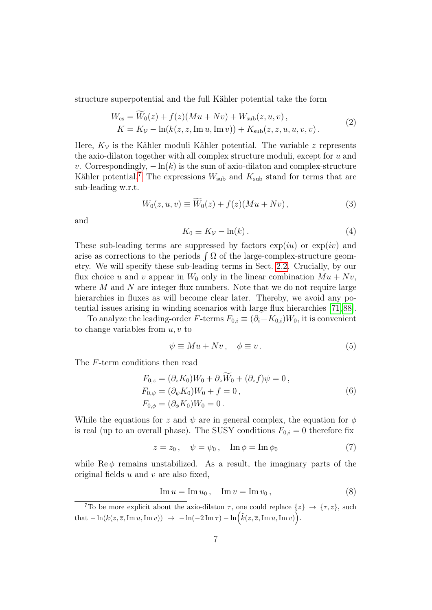structure superpotential and the full Kähler potential take the form

$$
W_{\text{cs}} = W_0(z) + f(z)(Mu + Nv) + W_{\text{sub}}(z, u, v),
$$
  
\n
$$
K = K_V - \ln(k(z, \overline{z}, \text{Im } u, \text{Im } v)) + K_{\text{sub}}(z, \overline{z}, u, \overline{u}, v, \overline{v}).
$$
\n(2)

Here,  $K_v$  is the Kähler moduli Kähler potential. The variable z represents the axio-dilaton together with all complex structure moduli, except for  $u$  and v. Correspondingly,  $-\ln(k)$  is the sum of axio-dilaton and complex-structure Kähler potential.<sup>[7](#page-6-0)</sup> The expressions  $W_{\text{sub}}$  and  $K_{\text{sub}}$  stand for terms that are sub-leading w.r.t.

<span id="page-6-3"></span>
$$
W_0(z, u, v) \equiv W_0(z) + f(z)(Mu + Nv), \qquad (3)
$$

and

$$
K_0 \equiv K_V - \ln(k) \,. \tag{4}
$$

These sub-leading terms are suppressed by factors  $\exp(iu)$  or  $\exp(iv)$  and arise as corrections to the periods  $\int \Omega$  of the large-complex-structure geometry. We will specify these sub-leading terms in Sect. [2.2.](#page-7-0) Crucially, by our flux choice u and v appear in  $W_0$  only in the linear combination  $Mu + Nv$ , where  $M$  and  $N$  are integer flux numbers. Note that we do not require large hierarchies in fluxes as will become clear later. Thereby, we avoid any potential issues arising in winding scenarios with large flux hierarchies [\[71,](#page-29-3) [88\]](#page-30-1).

To analyze the leading-order F-terms  $F_{0,i} \equiv (\partial_i + K_{0,i})W_0$ , it is convenient to change variables from  $u, v$  to

<span id="page-6-1"></span>
$$
\psi \equiv Mu + Nv, \quad \phi \equiv v. \tag{5}
$$

The F-term conditions then read

<span id="page-6-2"></span>
$$
F_{0,z} = (\partial_z K_0) W_0 + \partial_z W_0 + (\partial_z f) \psi = 0,
$$
  
\n
$$
F_{0,\psi} = (\partial_{\psi} K_0) W_0 + f = 0,
$$
  
\n
$$
F_{0,\phi} = (\partial_{\phi} K_0) W_0 = 0.
$$
\n(6)

While the equations for z and  $\psi$  are in general complex, the equation for  $\phi$ is real (up to an overall phase). The SUSY conditions  $F_{0,i} = 0$  therefore fix

$$
z = z_0, \quad \psi = \psi_0, \quad \operatorname{Im} \phi = \operatorname{Im} \phi_0 \tag{7}
$$

while  $\text{Re}\,\phi$  remains unstabilized. As a result, the imaginary parts of the original fields  $u$  and  $v$  are also fixed,

$$
\operatorname{Im} u = \operatorname{Im} u_0, \quad \operatorname{Im} v = \operatorname{Im} v_0,\tag{8}
$$

<span id="page-6-0"></span><sup>&</sup>lt;sup>7</sup>To be more explicit about the axio-dilaton  $\tau$ , one could replace  $\{z\} \rightarrow \{\tau, z\}$ , such  $\text{that } -\ln(k(z,\overline{z},\text{Im } u, \text{Im } v)) \rightarrow -\ln(-2 \text{Im } \tau) - \ln(\tilde{k}(z,\overline{z},\text{Im } u, \text{Im } v)).$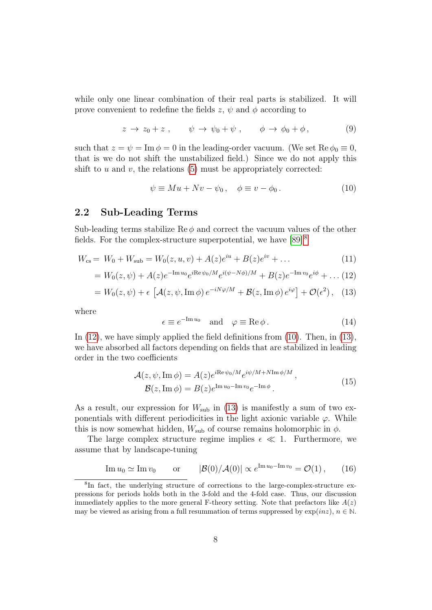while only one linear combination of their real parts is stabilized. It will prove convenient to redefine the fields z,  $\psi$  and  $\phi$  according to

<span id="page-7-5"></span>
$$
z \to z_0 + z \ , \qquad \psi \to \psi_0 + \psi \ , \qquad \phi \to \phi_0 + \phi \ , \tag{9}
$$

such that  $z = \psi = \text{Im } \phi = 0$  in the leading-order vacuum. (We set  $\text{Re } \phi_0 \equiv 0$ , that is we do not shift the unstabilized field.) Since we do not apply this shift to  $u$  and  $v$ , the relations  $(5)$  must be appropriately corrected:

<span id="page-7-3"></span>
$$
\psi \equiv M u + N v - \psi_0, \quad \phi \equiv v - \phi_0. \tag{10}
$$

#### <span id="page-7-0"></span>2.2 Sub-Leading Terms

Sub-leading terms stabilize Re  $\phi$  and correct the vacuum values of the other fields. For the complex-structure superpotential, we have [\[89\]](#page-30-2) [8](#page-7-1)

<span id="page-7-2"></span>
$$
W_{\rm cs} = W_0 + W_{\rm sub} = W_0(z, u, v) + A(z)e^{iu} + B(z)e^{iv} + \dots
$$
 (11)

$$
= W_0(z, \psi) + A(z)e^{-\text{Im} \,u_0}e^{i\text{Re}\,\psi_0/M}e^{i(\psi - N\phi)/M} + B(z)e^{-\text{Im} \,v_0}e^{i\phi} + \dots (12)
$$

$$
= W_0(z, \psi) + \epsilon \left[ \mathcal{A}(z, \psi, \operatorname{Im} \phi) e^{-iN\varphi/M} + \mathcal{B}(z, \operatorname{Im} \phi) e^{i\varphi} \right] + \mathcal{O}(\epsilon^2), \quad (13)
$$

where

$$
\epsilon \equiv e^{-\text{Im}\,u_0} \quad \text{and} \quad \varphi \equiv \text{Re}\,\phi \,. \tag{14}
$$

In  $(12)$ , we have simply applied the field definitions from  $(10)$ . Then, in  $(13)$ , we have absorbed all factors depending on fields that are stabilized in leading order in the two coefficients

$$
\mathcal{A}(z, \psi, \text{Im } \phi) = A(z)e^{i\text{Re }\psi_0/M}e^{i\psi/M + N\text{Im }\phi/M}, \mathcal{B}(z, \text{Im } \phi) = B(z)e^{\text{Im } u_0 - \text{Im } v_0}e^{-\text{Im }\phi}.
$$
\n(15)

As a result, our expression for  $W_{sub}$  in [\(13\)](#page-7-2) is manifestly a sum of two exponentials with different periodicities in the light axionic variable  $\varphi$ . While this is now somewhat hidden,  $W_{sub}$  of course remains holomorphic in  $\phi$ .

The large complex structure regime implies  $\epsilon \ll 1$ . Furthermore, we assume that by landscape-tuning

<span id="page-7-4"></span>Im 
$$
u_0 \simeq \text{Im } v_0
$$
 or  $|\mathcal{B}(0)/\mathcal{A}(0)| \propto e^{\text{Im } u_0 - \text{Im } v_0} = \mathcal{O}(1)$ , (16)

<span id="page-7-1"></span><sup>8</sup> In fact, the underlying structure of corrections to the large-complex-structure expressions for periods holds both in the 3-fold and the 4-fold case. Thus, our discussion immediately applies to the more general F-theory setting. Note that prefactors like  $A(z)$ may be viewed as arising from a full resummation of terms suppressed by  $\exp(inz), n \in \mathbb{N}$ .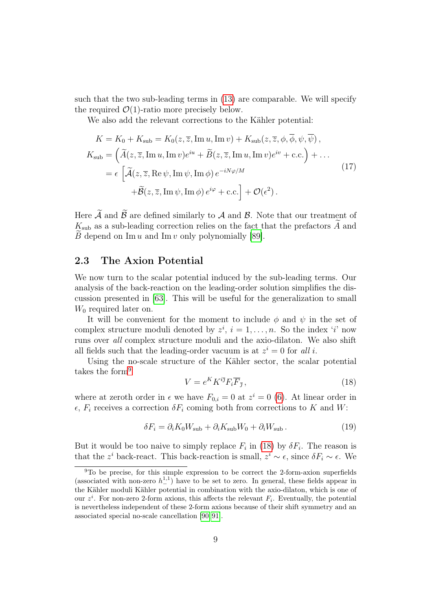such that the two sub-leading terms in [\(13\)](#page-7-2) are comparable. We will specify the required  $\mathcal{O}(1)$ -ratio more precisely below.

We also add the relevant corrections to the Kähler potential:

$$
K = K_0 + K_{\text{sub}} = K_0(z, \overline{z}, \text{Im } u, \text{Im } v) + K_{\text{sub}}(z, \overline{z}, \phi, \overline{\phi}, \psi, \overline{\psi}),
$$
  
\n
$$
K_{\text{sub}} = (\widetilde{A}(z, \overline{z}, \text{Im } u, \text{Im } v)e^{iu} + \widetilde{B}(z, \overline{z}, \text{Im } u, \text{Im } v)e^{iv} + \text{c.c.}) + \dots
$$
  
\n
$$
= \epsilon \left[ \widetilde{A}(z, \overline{z}, \text{Re } \psi, \text{Im } \psi, \text{Im } \phi) e^{-iN\varphi/M} + \widetilde{B}(z, \overline{z}, \text{Im } \psi, \text{Im } \phi) e^{i\varphi} + \text{c.c.} \right] + \mathcal{O}(\epsilon^2).
$$
\n(17)

Here  $\widetilde{A}$  and  $\widetilde{B}$  are defined similarly to A and B. Note that our treatment of  $K_\text{sub}$  as a sub-leading correction relies on the fact that the prefactors  $\widetilde{A}$  and B depend on  $\text{Im } u$  and  $\text{Im } v$  only polynomially [\[89\]](#page-30-2).

#### <span id="page-8-3"></span>2.3 The Axion Potential

We now turn to the scalar potential induced by the sub-leading terms. Our analysis of the back-reaction on the leading-order solution simplifies the discussion presented in [\[63\]](#page-28-8). This will be useful for the generalization to small  $W_0$  required later on.

It will be convenient for the moment to include  $\phi$  and  $\psi$  in the set of complex structure moduli denoted by  $z^i$ ,  $i = 1, \ldots, n$ . So the index 'i' now runs over all complex structure moduli and the axio-dilaton. We also shift all fields such that the leading-order vacuum is at  $z^i = 0$  for all i.

Using the no-scale structure of the Kähler sector, the scalar potential takes the form<sup>[9](#page-8-0)</sup>

<span id="page-8-1"></span>
$$
V = e^K K^{i\bar{\jmath}} F_i \overline{F}_{\bar{\jmath}} \,, \tag{18}
$$

where at zeroth order in  $\epsilon$  we have  $F_{0,i} = 0$  at  $z^i = 0$  [\(6\)](#page-6-2). At linear order in  $\epsilon$ ,  $F_i$  receives a correction  $\delta F_i$  coming both from corrections to K and W:

<span id="page-8-2"></span>
$$
\delta F_i = \partial_i K_0 W_{\rm sub} + \partial_i K_{\rm sub} W_0 + \partial_i W_{\rm sub}.
$$
\n(19)

But it would be too naive to simply replace  $F_i$  in [\(18\)](#page-8-1) by  $\delta F_i$ . The reason is that the z<sup>*i*</sup> back-react. This back-reaction is small,  $z^i \sim \epsilon$ , since  $\delta F_i \sim \epsilon$ . We

<span id="page-8-0"></span><sup>9</sup>To be precise, for this simple expression to be correct the 2-form-axion superfields (associated with non-zero  $h_{-}^{1,1}$ ) have to be set to zero. In general, these fields appear in the Kähler moduli Kähler potential in combination with the axio-dilaton, which is one of our  $z^i$ . For non-zero 2-form axions, this affects the relevant  $F_i$ . Eventually, the potential is nevertheless independent of these 2-form axions because of their shift symmetry and an associated special no-scale cancellation [\[90,](#page-30-3) [91\]](#page-30-4).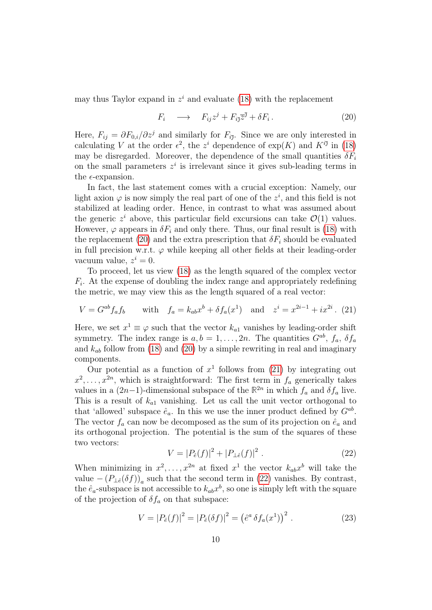may thus Taylor expand in  $z^i$  and evaluate [\(18\)](#page-8-1) with the replacement

<span id="page-9-0"></span>
$$
F_i \longrightarrow F_{ij}z^j + F_{i\bar{j}}\overline{z}^{\bar{j}} + \delta F_i. \tag{20}
$$

Here,  $F_{ij} = \partial F_{0,i}/\partial z^j$  and similarly for  $F_{i\bar{j}}$ . Since we are only interested in calculating V at the order  $\epsilon^2$ , the  $z^i$  dependence of  $\exp(K)$  and  $K^{i\bar{\jmath}}$  in [\(18\)](#page-8-1) may be disregarded. Moreover, the dependence of the small quantities  $\delta F_i$ on the small parameters  $z^i$  is irrelevant since it gives sub-leading terms in the  $\epsilon$ -expansion.

In fact, the last statement comes with a crucial exception: Namely, our light axion  $\varphi$  is now simply the real part of one of the  $z^i$ , and this field is not stabilized at leading order. Hence, in contrast to what was assumed about the generic  $z^i$  above, this particular field excursions can take  $\mathcal{O}(1)$  values. However,  $\varphi$  appears in  $\delta F_i$  and only there. Thus, our final result is [\(18\)](#page-8-1) with the replacement [\(20\)](#page-9-0) and the extra prescription that  $\delta F_i$  should be evaluated in full precision w.r.t.  $\varphi$  while keeping all other fields at their leading-order vacuum value,  $z^i = 0$ .

To proceed, let us view [\(18\)](#page-8-1) as the length squared of the complex vector  $F_i$ . At the expense of doubling the index range and appropriately redefining the metric, we may view this as the length squared of a real vector:

<span id="page-9-1"></span>
$$
V = G^{ab} f_a f_b \quad \text{with} \quad f_a = k_{ab} x^b + \delta f_a (x^1) \quad \text{and} \quad z^i = x^{2i-1} + ix^{2i} . \tag{21}
$$

Here, we set  $x^1 \equiv \varphi$  such that the vector  $k_{a1}$  vanishes by leading-order shift symmetry. The index range is  $a, b = 1, ..., 2n$ . The quantities  $G^{ab}$ ,  $f_a$ ,  $\delta f_a$ and  $k_{ab}$  follow from [\(18\)](#page-8-1) and [\(20\)](#page-9-0) by a simple rewriting in real and imaginary components.

Our potential as a function of  $x^1$  follows from [\(21\)](#page-9-1) by integrating out  $x^2, \ldots, x^{2n}$ , which is straightforward: The first term in  $f_a$  generically takes values in a  $(2n-1)$ -dimensional subspace of the  $\mathbb{R}^{2n}$  in which  $f_a$  and  $\delta f_a$  live. This is a result of  $k_{a1}$  vanishing. Let us call the unit vector orthogonal to that 'allowed' subspace  $\hat{e}_a$ . In this we use the inner product defined by  $G^{ab}$ . The vector  $f_a$  can now be decomposed as the sum of its projection on  $\hat{e}_a$  and its orthogonal projection. The potential is the sum of the squares of these two vectors:

<span id="page-9-2"></span>
$$
V = |P_{\hat{e}}(f)|^2 + |P_{\hat{e}}(f)|^2.
$$
 (22)

When minimizing in  $x^2, \ldots, x^{2n}$  at fixed  $x^1$  the vector  $k_{ab}x^b$  will take the value  $-(P_{\perp \hat{e}}(\delta f))_a$  such that the second term in [\(22\)](#page-9-2) vanishes. By contrast, the  $\hat{e}_a$ -subspace is not accessible to  $k_{ab}x^b$ , so one is simply left with the square of the projection of  $\delta f_a$  on that subspace:

$$
V = |P_{\hat{e}}(f)|^2 = |P_{\hat{e}}(\delta f)|^2 = (\hat{e}^a \,\delta f_a(x^1))^2 \,. \tag{23}
$$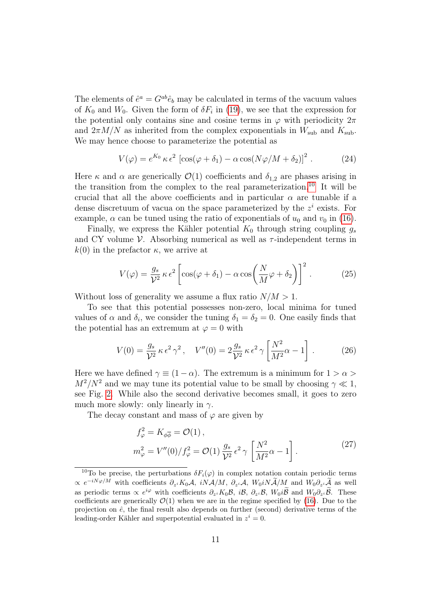The elements of  $\hat{e}^a = G^{ab} \hat{e}_b$  may be calculated in terms of the vacuum values of  $K_0$  and  $W_0$ . Given the form of  $\delta F_i$  in [\(19\)](#page-8-2), we see that the expression for the potential only contains sine and cosine terms in  $\varphi$  with periodicity  $2\pi$ and  $2\pi M/N$  as inherited from the complex exponentials in  $W_{sub}$  and  $K_{sub}$ . We may hence choose to parameterize the potential as

$$
V(\varphi) = e^{K_0} \kappa \epsilon^2 \left[ \cos(\varphi + \delta_1) - \alpha \cos(N\varphi/M + \delta_2) \right]^2. \tag{24}
$$

Here  $\kappa$  and  $\alpha$  are generically  $\mathcal{O}(1)$  coefficients and  $\delta_{1,2}$  are phases arising in the transition from the complex to the real parameterization.<sup>[10](#page-10-0)</sup> It will be crucial that all the above coefficients and in particular  $\alpha$  are tunable if a dense discretuum of vacua on the space parameterized by the  $z<sup>i</sup>$  exists. For example,  $\alpha$  can be tuned using the ratio of exponentials of  $u_0$  and  $v_0$  in [\(16\)](#page-7-4).

Finally, we express the Kähler potential  $K_0$  through string coupling  $g_s$ and CY volume  $\mathcal V$ . Absorbing numerical as well as  $\tau$ -independent terms in  $k(0)$  in the prefactor  $\kappa$ , we arrive at

<span id="page-10-1"></span>
$$
V(\varphi) = \frac{g_s}{\mathcal{V}^2} \kappa \,\epsilon^2 \left[ \cos(\varphi + \delta_1) - \alpha \cos\left(\frac{N}{M}\varphi + \delta_2\right) \right]^2. \tag{25}
$$

Without loss of generality we assume a flux ratio  $N/M > 1$ .

To see that this potential possesses non-zero, local minima for tuned values of  $\alpha$  and  $\delta_i$ , we consider the tuning  $\delta_1 = \delta_2 = 0$ . One easily finds that the potential has an extremum at  $\varphi = 0$  with

<span id="page-10-2"></span>
$$
V(0) = \frac{g_s}{\mathcal{V}^2} \kappa \epsilon^2 \gamma^2, \quad V''(0) = 2\frac{g_s}{\mathcal{V}^2} \kappa \epsilon^2 \gamma \left[\frac{N^2}{M^2}\alpha - 1\right]. \tag{26}
$$

Here we have defined  $\gamma \equiv (1 - \alpha)$ . The extremum is a minimum for  $1 > \alpha$  $M^2/N^2$  and we may tune its potential value to be small by choosing  $\gamma \ll 1$ , see Fig. [2.](#page-11-0) While also the second derivative becomes small, it goes to zero much more slowly: only linearly in  $\gamma$ .

The decay constant and mass of  $\varphi$  are given by

<span id="page-10-3"></span>
$$
f_{\varphi}^{2} = K_{\phi\overline{\phi}} = \mathcal{O}(1),
$$
  

$$
m_{\varphi}^{2} = V''(0)/f_{\varphi}^{2} = \mathcal{O}(1)\frac{g_{s}}{\mathcal{V}^{2}}\epsilon^{2}\gamma\left[\frac{N^{2}}{M^{2}}\alpha - 1\right].
$$
 (27)

<span id="page-10-0"></span><sup>&</sup>lt;sup>10</sup>To be precise, the perturbations  $\delta F_i(\varphi)$  in complex notation contain periodic terms  $\propto e^{-iN\varphi/M}$  with coefficients  $\partial_{z_i}K_0\mathcal{A}, iN\mathcal{A}/M, \partial_{z_i}\mathcal{A}, W_0iN\mathcal{A}/M$  and  $W_0\partial_{z_i}\mathcal{A}$  as well as periodic terms  $\propto e^{i\varphi}$  with coefficients  $\partial_{z^i} K_0 \mathcal{B}$ ,  $i\mathcal{B}$ ,  $\partial_{z^i} \mathcal{B}$ ,  $W_0 i\widetilde{\mathcal{B}}$  and  $W_0 \partial_{z^i} \widetilde{\mathcal{B}}$ . These coefficients are generically  $\mathcal{O}(1)$  when we are in the regime specified by [\(16\)](#page-7-4). Due to the projection on  $\hat{e}$ , the final result also depends on further (second) derivative terms of the leading-order Kähler and superpotential evaluated in  $z^i = 0$ .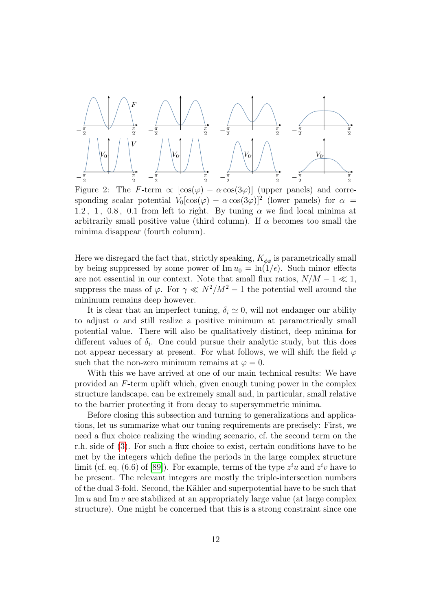<span id="page-11-0"></span>

Figure 2: The F-term  $\propto [\cos(\varphi) - \alpha \cos(3\varphi)]$  (upper panels) and corresponding scalar potential  $V_0[\cos(\varphi) - \alpha \cos(3\varphi)]^2$  (lower panels) for  $\alpha =$ 1.2, 1, 0.8, 0.1 from left to right. By tuning  $\alpha$  we find local minima at arbitrarily small positive value (third column). If  $\alpha$  becomes too small the minima disappear (fourth column).

Here we disregard the fact that, strictly speaking,  $K_{\phi\overline{\phi}}$  is parametrically small by being suppressed by some power of  $\text{Im } u_0 = \ln(1/\epsilon)$ . Such minor effects are not essential in our context. Note that small flux ratios,  $N/M - 1 \ll 1$ , suppress the mass of  $\varphi$ . For  $\gamma \ll N^2/M^2 - 1$  the potential well around the minimum remains deep however.

It is clear that an imperfect tuning,  $\delta_i \simeq 0$ , will not endanger our ability to adjust  $\alpha$  and still realize a positive minimum at parametrically small potential value. There will also be qualitatively distinct, deep minima for different values of  $\delta_i$ . One could pursue their analytic study, but this does not appear necessary at present. For what follows, we will shift the field  $\varphi$ such that the non-zero minimum remains at  $\varphi = 0$ .

With this we have arrived at one of our main technical results: We have provided an F-term uplift which, given enough tuning power in the complex structure landscape, can be extremely small and, in particular, small relative to the barrier protecting it from decay to supersymmetric minima.

Before closing this subsection and turning to generalizations and applications, let us summarize what our tuning requirements are precisely: First, we need a flux choice realizing the winding scenario, cf. the second term on the r.h. side of [\(3\)](#page-6-3). For such a flux choice to exist, certain conditions have to be met by the integers which define the periods in the large complex structure limit (cf. eq. (6.6) of [\[89\]](#page-30-2)). For example, terms of the type  $z^i u$  and  $z^i v$  have to be present. The relevant integers are mostly the triple-intersection numbers of the dual 3-fold. Second, the Kähler and superpotential have to be such that Im  $u$  and Im  $v$  are stabilized at an appropriately large value (at large complex structure). One might be concerned that this is a strong constraint since one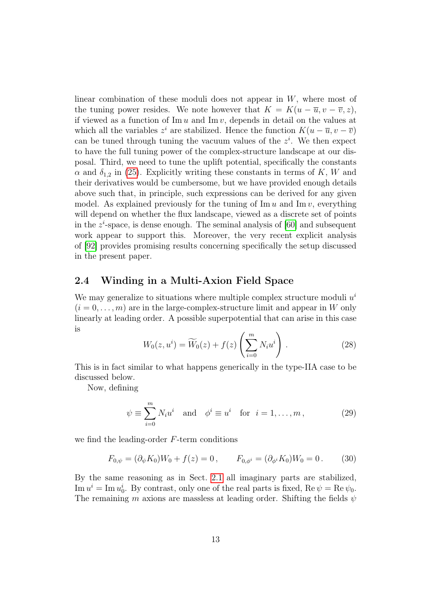linear combination of these moduli does not appear in W, where most of the tuning power resides. We note however that  $K = K(u - \overline{u}, v - \overline{v}, z)$ , if viewed as a function of  $\text{Im } u$  and  $\text{Im } v$ , depends in detail on the values at which all the variables  $z^i$  are stabilized. Hence the function  $K(u - \overline{u}, v - \overline{v})$ can be tuned through tuning the vacuum values of the  $z<sup>i</sup>$ . We then expect to have the full tuning power of the complex-structure landscape at our disposal. Third, we need to tune the uplift potential, specifically the constants  $\alpha$  and  $\delta_{1,2}$  in [\(25\)](#page-10-1). Explicitly writing these constants in terms of K, W and their derivatives would be cumbersome, but we have provided enough details above such that, in principle, such expressions can be derived for any given model. As explained previously for the tuning of  $\text{Im } u$  and  $\text{Im } v$ , everything will depend on whether the flux landscape, viewed as a discrete set of points in the  $z^i$ -space, is dense enough. The seminal analysis of [\[60\]](#page-28-2) and subsequent work appear to support this. Moreover, the very recent explicit analysis of [\[92\]](#page-30-5) provides promising results concerning specifically the setup discussed in the present paper.

#### 2.4 Winding in a Multi-Axion Field Space

We may generalize to situations where multiple complex structure moduli  $u^i$  $(i = 0, \ldots, m)$  are in the large-complex-structure limit and appear in W only linearly at leading order. A possible superpotential that can arise in this case is

<span id="page-12-0"></span>
$$
W_0(z, u^i) = \widetilde{W}_0(z) + f(z) \left(\sum_{i=0}^m N_i u^i\right).
$$
 (28)

This is in fact similar to what happens generically in the type-IIA case to be discussed below.

Now, defining

$$
\psi \equiv \sum_{i=0}^{m} N_i u^i \quad \text{and} \quad \phi^i \equiv u^i \quad \text{for} \quad i = 1, \dots, m \,, \tag{29}
$$

we find the leading-order F-term conditions

$$
F_{0,\psi} = (\partial_{\psi} K_0) W_0 + f(z) = 0, \qquad F_{0,\phi^i} = (\partial_{\phi^i} K_0) W_0 = 0.
$$
 (30)

By the same reasoning as in Sect. [2.1](#page-5-2) all imaginary parts are stabilized,  $\text{Im } u^i = \text{Im } u_0^i$ . By contrast, only one of the real parts is fixed,  $\text{Re } \psi = \text{Re } \psi_0$ . The remaining m axions are massless at leading order. Shifting the fields  $\psi$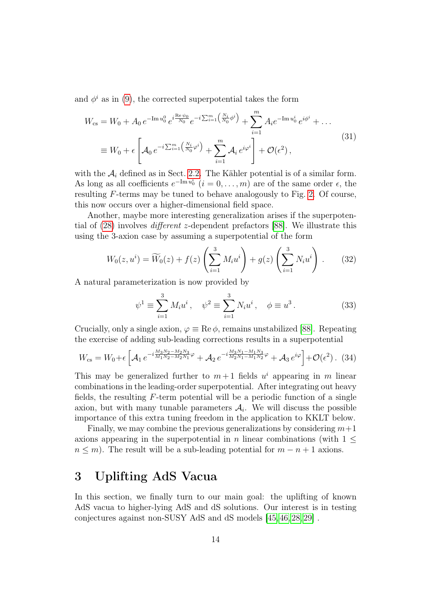and  $\phi^i$  as in [\(9\)](#page-7-5), the corrected superpotential takes the form

<span id="page-13-2"></span>
$$
W_{\rm cs} = W_0 + A_0 e^{-\text{Im}\,u_0^0} e^{i\frac{\text{Re}\,\psi_0}{N_0}} e^{-i\sum_{i=1}^m \left(\frac{N_i}{N_0}\phi^i\right)} + \sum_{i=1}^m A_i e^{-\text{Im}\,u_0^i} e^{i\phi^i} + \dots
$$
  

$$
\equiv W_0 + \epsilon \left[ A_0 e^{-i\sum_{i=1}^m \left(\frac{N_i}{N_0}\phi^i\right)} + \sum_{i=1}^m A_i e^{i\varphi^i} \right] + \mathcal{O}(\epsilon^2) , \tag{31}
$$

with the  $A_i$  defined as in Sect. [2.2.](#page-7-0) The Kähler potential is of a similar form. As long as all coefficients  $e^{-\text{Im }u_0^i}$   $(i = 0, \ldots, m)$  are of the same order  $\epsilon$ , the resulting  $F$ -terms may be tuned to behave analogously to Fig. [2.](#page-11-0) Of course, this now occurs over a higher-dimensional field space.

Another, maybe more interesting generalization arises if the superpotential of [\(28\)](#page-12-0) involves different z-dependent prefactors [\[88\]](#page-30-1). We illustrate this using the 3-axion case by assuming a superpotential of the form

$$
W_0(z, u^i) = \widetilde{W}_0(z) + f(z) \left( \sum_{i=1}^3 M_i u^i \right) + g(z) \left( \sum_{i=1}^3 N_i u^i \right) . \tag{32}
$$

A natural parameterization is now provided by

$$
\psi^1 \equiv \sum_{i=1}^3 M_i u^i \,, \quad \psi^2 \equiv \sum_{i=1}^3 N_i u^i \,, \quad \phi \equiv u^3 \,. \tag{33}
$$

Crucially, only a single axion,  $\varphi \equiv \text{Re}\,\phi$ , remains unstabilized [\[88\]](#page-30-1). Repeating the exercise of adding sub-leading corrections results in a superpotential

<span id="page-13-1"></span>
$$
W_{\rm cs} = W_0 + \epsilon \left[ \mathcal{A}_1 e^{-i \frac{M_3 N_2 - M_2 N_3}{M_1 N_2 - M_2 N_1} \varphi} + \mathcal{A}_2 e^{-i \frac{M_3 N_1 - M_1 N_3}{M_2 N_1 - M_1 N_2} \varphi} + \mathcal{A}_3 e^{i\varphi} \right] + \mathcal{O}(\epsilon^2) . \tag{34}
$$

This may be generalized further to  $m+1$  fields  $u^i$  appearing in m linear combinations in the leading-order superpotential. After integrating out heavy fields, the resulting  $F$ -term potential will be a periodic function of a single axion, but with many tunable parameters  $A_i$ . We will discuss the possible importance of this extra tuning freedom in the application to KKLT below.

Finally, we may combine the previous generalizations by considering  $m+1$ axions appearing in the superpotential in n linear combinations (with  $1 \leq$  $n \leq m$ ). The result will be a sub-leading potential for  $m - n + 1$  axions.

## <span id="page-13-0"></span>3 Uplifting AdS Vacua

In this section, we finally turn to our main goal: the uplifting of known AdS vacua to higher-lying AdS and dS solutions. Our interest is in testing conjectures against non-SUSY AdS and dS models [\[45,](#page-27-1) [46,](#page-27-2) [28,](#page-26-10) [29\]](#page-26-3) .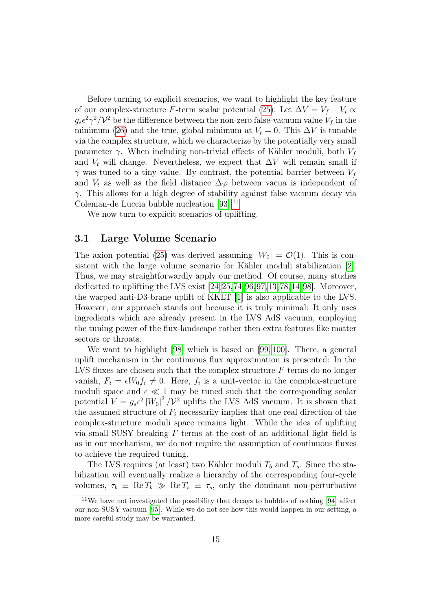Before turning to explicit scenarios, we want to highlight the key feature of our complex-structure F-term scalar potential [\(25\)](#page-10-1): Let  $\Delta V = V_f - V_t \propto$  $g_s \epsilon^2 \gamma^2/\mathcal{V}^2$  be the difference between the non-zero false-vacuum value  $V_f$  in the minimum [\(26\)](#page-10-2) and the true, global minimum at  $V_t = 0$ . This  $\Delta V$  is tunable via the complex structure, which we characterize by the potentially very small parameter  $\gamma$ . When including non-trivial effects of Kähler moduli, both  $V_f$ and  $V_t$  will change. Nevertheless, we expect that  $\Delta V$  will remain small if  $\gamma$  was tuned to a tiny value. By contrast, the potential barrier between  $V_f$ and  $V_t$  as well as the field distance  $\Delta\varphi$  between vacua is independent of  $\gamma$ . This allows for a high degree of stability against false vacuum decay via Coleman-de Luccia bubble nucleation [\[93\]](#page-31-0).<sup>[11](#page-14-0)</sup>

We now turn to explicit scenarios of uplifting.

#### 3.1 Large Volume Scenario

The axion potential [\(25\)](#page-10-1) was derived assuming  $|W_0| = \mathcal{O}(1)$ . This is consistent with the large volume scenario for Kähler moduli stabilization [\[2\]](#page-24-1). Thus, we may straightforwardly apply our method. Of course, many studies dedicated to uplifting the LVS exist [\[24,](#page-25-2)[25,](#page-26-0)[74,](#page-29-7)[96,](#page-31-1)[97,](#page-31-2)[13,](#page-25-3)[78,](#page-29-8)[14,](#page-25-4)[98\]](#page-31-3). Moreover, the warped anti-D3-brane uplift of KKLT [\[1\]](#page-24-0) is also applicable to the LVS. However, our approach stands out because it is truly minimal: It only uses ingredients which are already present in the LVS AdS vacuum, employing the tuning power of the flux-landscape rather then extra features like matter sectors or throats.

We want to highlight [\[98\]](#page-31-3) which is based on [\[99,](#page-31-4) [100\]](#page-31-5). There, a general uplift mechanism in the continuous flux approximation is presented: In the LVS fluxes are chosen such that the complex-structure F-terms do no longer vanish,  $F_i = \epsilon W_0 f_i \neq 0$ . Here,  $f_i$  is a unit-vector in the complex-structure moduli space and  $\epsilon \ll 1$  may be tuned such that the corresponding scalar potential  $V = g_s \epsilon^2 |W_0|^2 / \mathcal{V}^2$  uplifts the LVS AdS vacuum. It is shown that the assumed structure of  $F_i$  necessarily implies that one real direction of the complex-structure moduli space remains light. While the idea of uplifting via small SUSY-breaking F-terms at the cost of an additional light field is as in our mechanism, we do not require the assumption of continuous fluxes to achieve the required tuning.

The LVS requires (at least) two Kähler moduli  $T_b$  and  $T_s$ . Since the stabilization will eventually realize a hierarchy of the corresponding four-cycle volumes,  $\tau_b \equiv \text{Re } T_b \gg \text{Re } T_s \equiv \tau_s$ , only the dominant non-perturbative

<span id="page-14-0"></span><sup>11</sup>We have not investigated the possibility that decays to bubbles of nothing [\[94\]](#page-31-6) affect our non-SUSY vacuum [\[95\]](#page-31-7). While we do not see how this would happen in our setting, a more careful study may be warranted.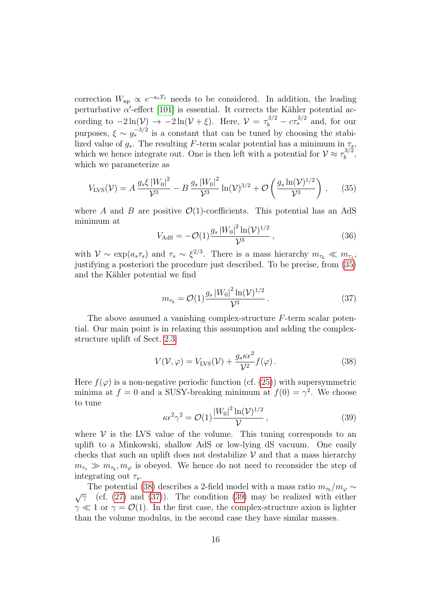correction  $W_{\text{np}} \propto e^{-a_s T_s}$  needs to be considered. In addition, the leading perturbative  $\alpha'$ -effect [\[101\]](#page-31-8) is essential. It corrects the Kähler potential according to  $-2\ln(V) \rightarrow -2\ln(V+\xi)$ . Here,  $V = \tau_b^{3/2} - c\tau_s^{3/2}$  and, for our purposes,  $\xi \sim g_s^{-3/2}$  is a constant that can be tuned by choosing the stabilized value of  $g_s$ . The resulting F-term scalar potential has a minimum in  $\tau_s$ , which we hence integrate out. One is then left with a potential for  $V \approx \tau_b^{3/2}$  $\frac{b}{b}$ , which we parameterize as

<span id="page-15-0"></span>
$$
V_{\text{LVS}}(\mathcal{V}) = A \frac{g_s \xi \left| W_0 \right|^2}{\mathcal{V}^3} - B \frac{g_s \left| W_0 \right|^2}{\mathcal{V}^3} \ln(\mathcal{V})^{3/2} + \mathcal{O}\left(\frac{g_s \ln(\mathcal{V})^{1/2}}{\mathcal{V}^3}\right), \quad (35)
$$

where A and B are positive  $\mathcal{O}(1)$ -coefficients. This potential has an AdS minimum at

$$
V_{\rm AdS} = -\mathcal{O}(1) \frac{g_s \left| W_0 \right|^2 \ln(\mathcal{V})^{1/2}}{\mathcal{V}^3},\tag{36}
$$

with  $\mathcal{V} \sim \exp(a_s \tau_s)$  and  $\tau_s \sim \xi^{2/3}$ . There is a mass hierarchy  $m_{\tau_b} \ll m_{\tau_s}$ , justifying a posteriori the procedure just described. To be precise, from [\(35\)](#page-15-0) and the Kähler potential we find

<span id="page-15-2"></span>
$$
m_{\tau_b} = \mathcal{O}(1) \frac{g_s \, |W_0|^2 \ln(\mathcal{V})^{1/2}}{\mathcal{V}^3} \,. \tag{37}
$$

The above assumed a vanishing complex-structure F-term scalar potential. Our main point is in relaxing this assumption and adding the complexstructure uplift of Sect. [2.3:](#page-8-3)

<span id="page-15-1"></span>
$$
V(\mathcal{V}, \varphi) = V_{\text{LVS}}(\mathcal{V}) + \frac{g_s \kappa \epsilon^2}{\mathcal{V}^2} f(\varphi).
$$
 (38)

Here  $f(\varphi)$  is a non-negative periodic function (cf. [\(25\)](#page-10-1)) with supersymmetric minima at  $f = 0$  and a SUSY-breaking minimum at  $f(0) = \gamma^2$ . We choose to tune

<span id="page-15-3"></span>
$$
\kappa \epsilon^2 \gamma^2 = \mathcal{O}(1) \frac{|W_0|^2 \ln(\mathcal{V})^{1/2}}{\mathcal{V}},
$$
\n(39)

where  $V$  is the LVS value of the volume. This tuning corresponds to an uplift to a Minkowski, shallow AdS or low-lying dS vacuum. One easily checks that such an uplift does not destabilize  $\mathcal V$  and that a mass hierarchy  $m_{\tau_s} \gg m_{\tau_b}, m_{\varphi}$  is obeyed. We hence do not need to reconsider the step of integrating out  $\tau_s$ .

The potential [\(38\)](#page-15-1) describes a 2-field model with a mass ratio  $m_{\tau_b}/m_\varphi \sim$  $\sqrt{\gamma}$  (cf. [\(27\)](#page-10-3) and [\(37\)](#page-15-2)). The condition [\(39\)](#page-15-3) may be realized with either  $\gamma \ll 1$  or  $\gamma = \mathcal{O}(1)$ . In the first case, the complex-structure axion is lighter than the volume modulus, in the second case they have similar masses.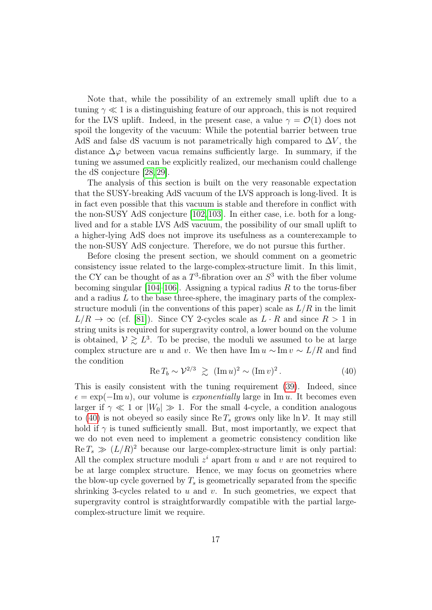Note that, while the possibility of an extremely small uplift due to a tuning  $\gamma \ll 1$  is a distinguishing feature of our approach, this is not required for the LVS uplift. Indeed, in the present case, a value  $\gamma = \mathcal{O}(1)$  does not spoil the longevity of the vacuum: While the potential barrier between true AdS and false dS vacuum is not parametrically high compared to  $\Delta V$ , the distance  $\Delta\varphi$  between vacua remains sufficiently large. In summary, if the tuning we assumed can be explicitly realized, our mechanism could challenge the dS conjecture [\[28,](#page-26-10) [29\]](#page-26-3).

The analysis of this section is built on the very reasonable expectation that the SUSY-breaking AdS vacuum of the LVS approach is long-lived. It is in fact even possible that this vacuum is stable and therefore in conflict with the non-SUSY AdS conjecture [\[102,](#page-31-9) [103\]](#page-31-10). In either case, i.e. both for a longlived and for a stable LVS AdS vacuum, the possibility of our small uplift to a higher-lying AdS does not improve its usefulness as a counterexample to the non-SUSY AdS conjecture. Therefore, we do not pursue this further.

Before closing the present section, we should comment on a geometric consistency issue related to the large-complex-structure limit. In this limit, the CY can be thought of as a  $T^3$ -fibration over an  $S^3$  with the fiber volume becoming singular [\[104–](#page-31-11)[106\]](#page-32-0). Assigning a typical radius  $R$  to the torus-fiber and a radius  $L$  to the base three-sphere, the imaginary parts of the complexstructure moduli (in the conventions of this paper) scale as  $L/R$  in the limit  $L/R \to \infty$  (cf. [\[81\]](#page-30-6)). Since CY 2-cycles scale as  $L \cdot R$  and since  $R > 1$  in string units is required for supergravity control, a lower bound on the volume is obtained,  $V \geq L^3$ . To be precise, the moduli we assumed to be at large complex structure are u and v. We then have Im  $u \sim \text{Im } v \sim L/R$  and find the condition

<span id="page-16-0"></span>
$$
\operatorname{Re} T_b \sim \mathcal{V}^{2/3} \geq (\operatorname{Im} u)^2 \sim (\operatorname{Im} v)^2. \tag{40}
$$

This is easily consistent with the tuning requirement [\(39\)](#page-15-3). Indeed, since  $\epsilon = \exp(-\text{Im }u)$ , our volume is *exponentially* large in Im u. It becomes even larger if  $\gamma \ll 1$  or  $|W_0| \gg 1$ . For the small 4-cycle, a condition analogous to [\(40\)](#page-16-0) is not obeyed so easily since Re  $T_s$  grows only like  $\ln \mathcal{V}$ . It may still hold if  $\gamma$  is tuned sufficiently small. But, most importantly, we expect that we do not even need to implement a geometric consistency condition like  $\text{Re } T_s \gg (L/R)^2$  because our large-complex-structure limit is only partial: All the complex structure moduli  $z^i$  apart from u and v are not required to be at large complex structure. Hence, we may focus on geometries where the blow-up cycle governed by  $T_s$  is geometrically separated from the specific shrinking 3-cycles related to  $u$  and  $v$ . In such geometries, we expect that supergravity control is straightforwardly compatible with the partial largecomplex-structure limit we require.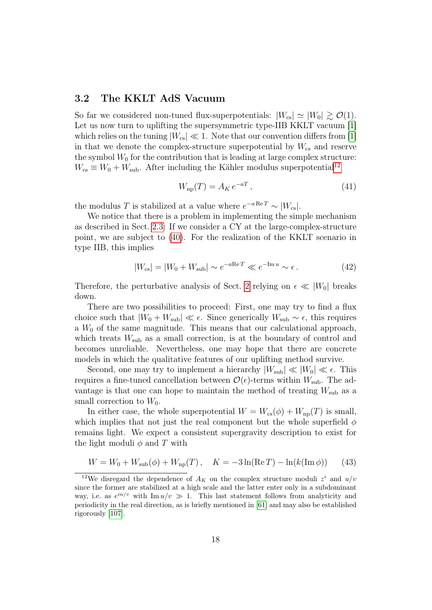#### <span id="page-17-0"></span>3.2 The KKLT AdS Vacuum

So far we considered non-tuned flux-superpotentials:  $|W_{cs}| \simeq |W_0| \gtrsim \mathcal{O}(1)$ . Let us now turn to uplifting the supersymmetric type-IIB KKLT vacuum [\[1\]](#page-24-0) which relies on the tuning  $|W_{cs}| \ll 1$ . Note that our convention differs from [\[1\]](#page-24-0) in that we denote the complex-structure superpotential by  $W_{\rm cs}$  and reserve the symbol  $W_0$  for the contribution that is leading at large complex structure:  $W_{\text{cs}} \equiv W_0 + W_{\text{sub}}$ . After including the Kähler modulus superpotential<sup>[12](#page-17-1)</sup>

$$
W_{\rm np}(T) = A_K e^{-aT},\qquad(41)
$$

the modulus T is stabilized at a value where  $e^{-a \text{Re } T} \sim |W_{cs}|$ .

We notice that there is a problem in implementing the simple mechanism as described in Sect. [2.3:](#page-8-3) If we consider a CY at the large-complex-structure point, we are subject to [\(40\)](#page-16-0). For the realization of the KKLT scenario in type IIB, this implies

$$
|W_{\rm cs}| = |W_0 + W_{\rm sub}| \sim e^{-a\text{Re}\,T} \ll e^{-\text{Im}\,u} \sim \epsilon. \tag{42}
$$

Therefore, the perturbative analysis of Sect. [2](#page-5-1) relying on  $\epsilon \ll |W_0|$  breaks down.

There are two possibilities to proceed: First, one may try to find a flux choice such that  $|W_0 + W_{sub}| \ll \epsilon$ . Since generically  $W_{sub} \sim \epsilon$ , this requires a  $W_0$  of the same magnitude. This means that our calculational approach, which treats  $W_{sub}$  as a small correction, is at the boundary of control and becomes unreliable. Nevertheless, one may hope that there are concrete models in which the qualitative features of our uplifting method survive.

Second, one may try to implement a hierarchy  $|W_{sub}| \ll |W_0| \ll \epsilon$ . This requires a fine-tuned cancellation between  $\mathcal{O}(\epsilon)$ -terms within  $W_{sub}$ . The advantage is that one can hope to maintain the method of treating  $W_{\text{sub}}$  as a small correction to  $W_0$ .

In either case, the whole superpotential  $W = W_{cs}(\phi) + W_{np}(T)$  is small, which implies that not just the real component but the whole superfield  $\phi$ remains light. We expect a consistent supergravity description to exist for the light moduli  $\phi$  and T with

$$
W = W_0 + W_{\rm sub}(\phi) + W_{\rm np}(T), \quad K = -3\ln(\text{Re}\,T) - \ln(k(\text{Im}\,\phi)) \tag{43}
$$

<span id="page-17-1"></span><sup>&</sup>lt;sup>12</sup>We disregard the dependence of  $A_K$  on the complex structure moduli  $z^i$  and  $u/v$ since the former are stabilized at a high scale and the latter enter only in a subdominant way, i.e. as  $e^{iu/v}$  with Im  $u/v \gg 1$ . This last statement follows from analyticity and periodicity in the real direction, as is briefly mentioned in [\[61\]](#page-28-3) and may also be established rigorously [\[107\]](#page-32-1).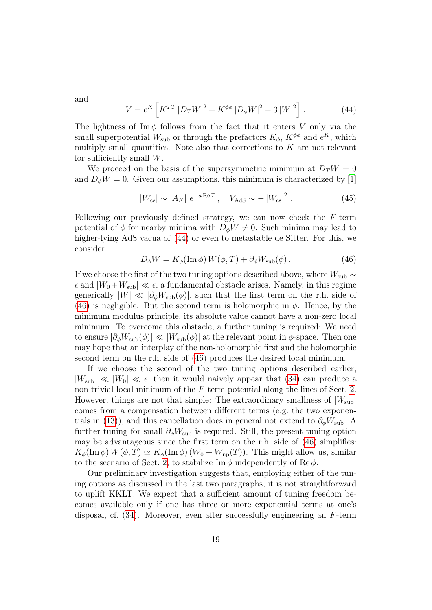and

<span id="page-18-0"></span>
$$
V = e^{K} \left[ K^{T\overline{T}} \left| D_{T} W \right|^{2} + K^{\phi \overline{\phi}} \left| D_{\phi} W \right|^{2} - 3 \left| W \right|^{2} \right]. \tag{44}
$$

The lightness of Im  $\phi$  follows from the fact that it enters V only via the small superpotential  $W_{\text{sub}}$  or through the prefactors  $K_{\phi}$ ,  $K^{\phi\phi}$  and  $e^{K}$ , which multiply small quantities. Note also that corrections to  $K$  are not relevant for sufficiently small  $W$ .

We proceed on the basis of the supersymmetric minimum at  $D_T W = 0$ and  $D_{\phi}W = 0$ . Given our assumptions, this minimum is characterized by [\[1\]](#page-24-0)

$$
|W_{\rm cs}| \sim |A_K| e^{-a \operatorname{Re} T}, \quad V_{\rm AdS} \sim -|W_{\rm cs}|^2. \tag{45}
$$

Following our previously defined strategy, we can now check the F-term potential of  $\phi$  for nearby minima with  $D_{\phi}W \neq 0$ . Such minima may lead to higher-lying AdS vacua of [\(44\)](#page-18-0) or even to metastable de Sitter. For this, we consider

<span id="page-18-1"></span>
$$
D_{\phi}W = K_{\phi}(\text{Im}\,\phi)W(\phi, T) + \partial_{\phi}W_{\text{sub}}(\phi). \tag{46}
$$

If we choose the first of the two tuning options described above, where  $W_{sub} \sim$  $\epsilon$  and  $|W_0+W_{sub}| \ll \epsilon$ , a fundamental obstacle arises. Namely, in this regime generically  $|W| \ll |\partial_{\phi}W_{\text{sub}}(\phi)|$ , such that the first term on the r.h. side of [\(46\)](#page-18-1) is negligible. But the second term is holomorphic in  $\phi$ . Hence, by the minimum modulus principle, its absolute value cannot have a non-zero local minimum. To overcome this obstacle, a further tuning is required: We need to ensure  $|\partial_{\phi}W_{\text{sub}}(\phi)| \ll |W_{\text{sub}}(\phi)|$  at the relevant point in  $\phi$ -space. Then one may hope that an interplay of the non-holomorphic first and the holomorphic second term on the r.h. side of [\(46\)](#page-18-1) produces the desired local minimum.

If we choose the second of the two tuning options described earlier,  $|W_{sub}| \ll |W_0| \ll \epsilon$ , then it would naively appear that [\(34\)](#page-13-1) can produce a non-trivial local minimum of the F-term potential along the lines of Sect. [2.](#page-5-1) However, things are not that simple: The extraordinary smallness of  $|W_{sub}|$ comes from a compensation between different terms (e.g. the two exponen-tials in [\(13\)](#page-7-2)), and this cancellation does in general not extend to  $\partial_{\phi}W_{\text{sub}}$ . A further tuning for small  $\partial_{\phi}W_{\text{sub}}$  is required. Still, the present tuning option may be advantageous since the first term on the r.h. side of [\(46\)](#page-18-1) simplifies:  $K_{\phi}(\text{Im }\phi) W(\phi, T) \simeq K_{\phi}(\text{Im }\phi) (W_0 + W_{\text{np}}(T))$ . This might allow us, similar to the scenario of Sect. [2,](#page-5-1) to stabilize Im  $\phi$  independently of Re $\phi$ .

Our preliminary investigation suggests that, employing either of the tuning options as discussed in the last two paragraphs, it is not straightforward to uplift KKLT. We expect that a sufficient amount of tuning freedom becomes available only if one has three or more exponential terms at one's disposal, cf. [\(34\)](#page-13-1). Moreover, even after successfully engineering an F-term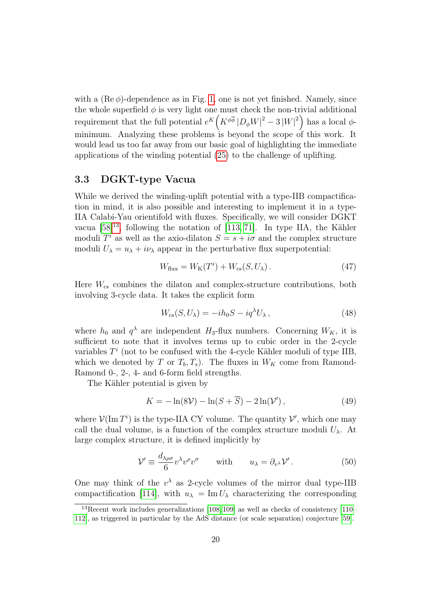with a  $(Re \phi)$ -dependence as in Fig. [1,](#page-4-0) one is not yet finished. Namely, since the whole superfield  $\phi$  is very light one must check the non-trivial additional requirement that the full potential  $e^{K} (K^{\phi\overline{\phi}} |D_{\phi}W|^{2} - 3|W|^{2})$  has a local  $\phi$ minimum. Analyzing these problems is beyond the scope of this work. It would lead us too far away from our basic goal of highlighting the immediate applications of the winding potential [\(25\)](#page-10-1) to the challenge of uplifting.

#### 3.3 DGKT-type Vacua

While we derived the winding-uplift potential with a type-IIB compactification in mind, it is also possible and interesting to implement it in a type-IIA Calabi-Yau orientifold with fluxes. Specifically, we will consider DGKT vacua  $[58]^{13}$  $[58]^{13}$  $[58]^{13}$  $[58]^{13}$ , following the notation of  $[113, 71]$  $[113, 71]$ . In type IIA, the Kähler moduli  $T^i$  as well as the axio-dilaton  $S = s + i\sigma$  and the complex structure moduli  $U_{\lambda} = u_{\lambda} + i v_{\lambda}$  appear in the perturbative flux superpotential:

$$
W_{\text{flux}} = W_{\text{K}}(T^i) + W_{\text{cs}}(S, U_\lambda). \tag{47}
$$

Here  $W_{\text{cs}}$  combines the dilaton and complex-structure contributions, both involving 3-cycle data. It takes the explicit form

<span id="page-19-1"></span>
$$
W_{\rm cs}(S, U_\lambda) = -ih_0 S - iq^\lambda U_\lambda, \qquad (48)
$$

where  $h_0$  and  $q^{\lambda}$  are independent  $H_3$ -flux numbers. Concerning  $W_K$ , it is sufficient to note that it involves terms up to cubic order in the 2-cycle variables  $T<sup>i</sup>$  (not to be confused with the 4-cycle Kähler moduli of type IIB, which we denoted by T or  $T_b, T_s$ ). The fluxes in  $W_K$  come from Ramond-Ramond 0-, 2-, 4- and 6-form field strengths.

The Kähler potential is given by

$$
K = -\ln(8\mathcal{V}) - \ln(S + \overline{S}) - 2\ln(\mathcal{V}'),\tag{49}
$$

where  $\mathcal{V}(\text{Im }T^i)$  is the type-IIA CY volume. The quantity  $\mathcal{V}'$ , which one may call the dual volume, is a function of the complex structure moduli  $U_{\lambda}$ . At large complex structure, it is defined implicitly by

$$
\mathcal{V}' \equiv \frac{d_{\lambda\rho\sigma}}{6} v^{\lambda} v^{\rho} v^{\sigma} \qquad \text{with} \qquad u_{\lambda} = \partial_{v^{\lambda}} \mathcal{V}' . \tag{50}
$$

One may think of the  $v^{\lambda}$  as 2-cycle volumes of the mirror dual type-IIB compactification [\[114\]](#page-32-3), with  $u_{\lambda} = \text{Im} U_{\lambda}$  characterizing the corresponding

<span id="page-19-0"></span> $13$ Recent work includes generalizations [\[108,](#page-32-4) [109\]](#page-32-5) as well as checks of consistency [\[110–](#page-32-6) [112\]](#page-32-7), as triggered in particular by the AdS distance (or scale separation) conjecture [\[59\]](#page-28-1).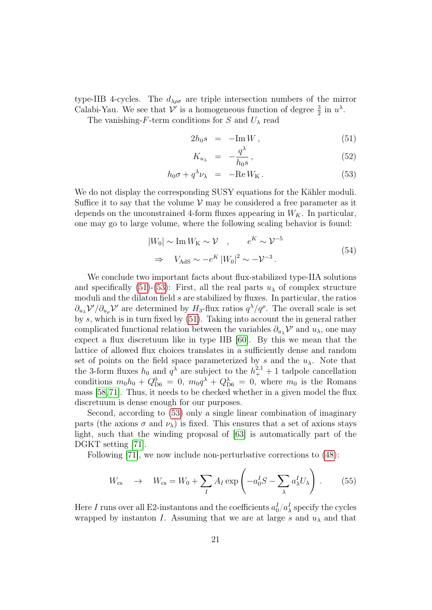type-IIB 4-cycles. The  $d_{\lambda\rho\sigma}$  are triple intersection numbers of the mirror Calabi-Yau. We see that  $\mathcal{V}'$  is a homogeneous function of degree  $\frac{3}{2}$  in  $u^{\lambda}$ .

The vanishing-F-term conditions for S and  $U_{\lambda}$  read

<span id="page-20-0"></span>
$$
2h_0 s = -\mathrm{Im} W, \qquad (51)
$$

$$
K_{u_{\lambda}} = -\frac{q^{\lambda}}{h_0 s},\tag{52}
$$

$$
h_0 \sigma + q^{\lambda} \nu_{\lambda} = -\text{Re} W_{\text{K}}.
$$
 (53)

We do not display the corresponding SUSY equations for the Kähler moduli. Suffice it to say that the volume  $\mathcal V$  may be considered a free parameter as it depends on the unconstrained 4-form fluxes appearing in  $W_K$ . In particular, one may go to large volume, where the following scaling behavior is found:

<span id="page-20-1"></span>
$$
|W_0| \sim \text{Im}\,W_{\text{K}} \sim \mathcal{V} \quad , \qquad e^K \sim \mathcal{V}^{-5}
$$
  

$$
\Rightarrow \quad V_{\text{AdS}} \sim -e^K \left| W_0 \right|^2 \sim -\mathcal{V}^{-3} . \tag{54}
$$

We conclude two important facts about flux-stabilized type-IIA solutions and specifically [\(51\)](#page-20-0)-[\(53\)](#page-20-0): First, all the real parts  $u_{\lambda}$  of complex structure moduli and the dilaton field  $s$  are stabilized by fluxes. In particular, the ratios  $\partial_{u_\lambda} \mathcal{V}'/\partial_{u_\rho} \mathcal{V}'$  are determined by  $H_3$ -flux ratios  $q^\lambda/q^\rho$ . The overall scale is set by s, which is in turn fixed by [\(51\)](#page-20-0). Taking into account the in general rather complicated functional relation between the variables  $\partial_{u_\lambda} \mathcal{V}'$  and  $u_\lambda$ , one may expect a flux discretuum like in type IIB [\[60\]](#page-28-2). By this we mean that the lattice of allowed flux choices translates in a sufficiently dense and random set of points on the field space parameterized by s and the  $u_\lambda$ . Note that the 3-form fluxes  $h_0$  and  $q^{\lambda}$  are subject to the  $h_+^{2,1}+1$  tadpole cancellation conditions  $m_0h_0 + Q_{D6}^0 = 0$ ,  $m_0q^{\lambda} + Q_{D6}^{\lambda} = 0$ , where  $m_0$  is the Romans mass [\[58,](#page-28-0)[71\]](#page-29-3). Thus, it needs to be checked whether in a given model the flux discretuum is dense enough for our purposes.

Second, according to [\(53\)](#page-20-0) only a single linear combination of imaginary parts (the axions  $\sigma$  and  $\nu_{\lambda}$ ) is fixed. This ensures that a set of axions stays light, such that the winding proposal of [\[63\]](#page-28-8) is automatically part of the DGKT setting [\[71\]](#page-29-3).

Following [\[71\]](#page-29-3), we now include non-perturbative corrections to [\(48\)](#page-19-1):

$$
W_{\rm cs} \rightarrow W_{\rm cs} = W_0 + \sum_{I} A_I \exp\left(-a_0^I S - \sum_{\lambda} a_{\lambda}^I U_{\lambda}\right). \tag{55}
$$

Here  $I$  runs over all E2-instantons and the coefficients  $a_0^I/a_\lambda^I$  specify the cycles wrapped by instanton I. Assuming that we are at large s and  $u_\lambda$  and that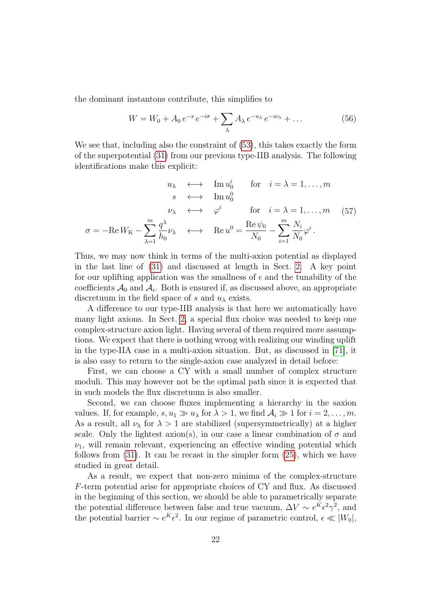the dominant instantons contribute, this simplifies to

$$
W = W_0 + A_0 e^{-s} e^{-i\sigma} + \sum_{\lambda} A_{\lambda} e^{-u_{\lambda}} e^{-i\nu_{\lambda}} + \dots \tag{56}
$$

We see that, including also the constraint of [\(53\)](#page-20-0), this takes exactly the form of the superpotential [\(31\)](#page-13-2) from our previous type-IIB analysis. The following identifications make this explicit:

$$
u_{\lambda} \longleftrightarrow \text{Im } u_0^i \quad \text{for} \quad i = \lambda = 1, ..., m
$$

$$
s \longleftrightarrow \text{Im } u_0^0
$$

$$
\nu_{\lambda} \longleftrightarrow \varphi^i \quad \text{for} \quad i = \lambda = 1, ..., m \quad (57)
$$

$$
\sigma = -\text{Re } W_{\text{K}} - \sum_{\lambda=1}^m \frac{q^{\lambda}}{h_0} \nu_{\lambda} \longleftrightarrow \text{Re } u^0 = \frac{\text{Re } \psi_0}{N_0} - \sum_{i=1}^m \frac{N_i}{N_0} \varphi^i.
$$

Thus, we may now think in terms of the multi-axion potential as displayed in the last line of [\(31\)](#page-13-2) and discussed at length in Sect. [2.](#page-5-1) A key point for our uplifting application was the smallness of  $\epsilon$  and the tunability of the coefficients  $\mathcal{A}_0$  and  $\mathcal{A}_i$ . Both is ensured if, as discussed above, an appropriate discretuum in the field space of s and  $u_\lambda$  exists.

A difference to our type-IIB analysis is that here we automatically have many light axions. In Sect. [2,](#page-5-1) a special flux choice was needed to keep one complex-structure axion light. Having several of them required more assumptions. We expect that there is nothing wrong with realizing our winding uplift in the type-IIA case in a multi-axion situation. But, as discussed in [\[71\]](#page-29-3), it is also easy to return to the single-axion case analyzed in detail before:

First, we can choose a CY with a small number of complex structure moduli. This may however not be the optimal path since it is expected that in such models the flux discretuum is also smaller.

Second, we can choose fluxes implementing a hierarchy in the saxion values. If, for example,  $s, u_1 \gg u_\lambda$  for  $\lambda > 1$ , we find  $\mathcal{A}_i \gg 1$  for  $i = 2, \ldots, m$ . As a result, all  $\nu_{\lambda}$  for  $\lambda > 1$  are stabilized (supersymmetrically) at a higher scale. Only the lightest axion(s), in our case a linear combination of  $\sigma$  and  $\nu_1$ , will remain relevant, experiencing an effective winding potential which follows from  $(31)$ . It can be recast in the simpler form  $(25)$ , which we have studied in great detail.

As a result, we expect that non-zero minima of the complex-structure F-term potential arise for appropriate choices of CY and flux. As discussed in the beginning of this section, we should be able to parametrically separate the potential difference between false and true vacuum,  $\Delta V \sim e^{K} \epsilon^2 \gamma^2$ , and the potential barrier  $\sim e^{K} \epsilon^2$ . In our regime of parametric control,  $\epsilon \ll |W_0|$ ,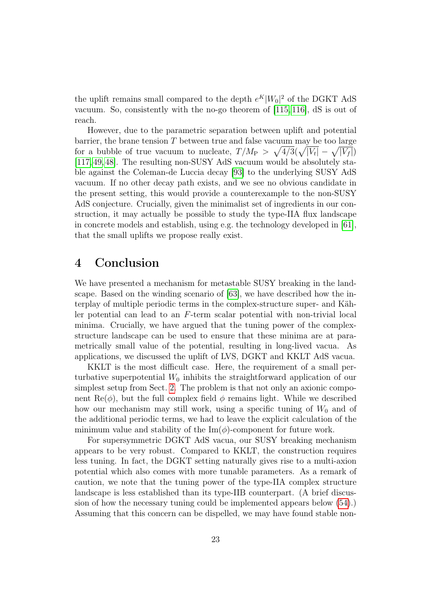the uplift remains small compared to the depth  $e^{K}|W_{0}|^{2}$  of the DGKT AdS vacuum. So, consistently with the no-go theorem of [\[115,](#page-32-8) [116\]](#page-32-9), dS is out of reach.

However, due to the parametric separation between uplift and potential barrier, the brane tension  $T$  between true and false vacuum may be too large for a bubble of true vacuum to nucleate,  $T/M_P > \sqrt{4/3}(\sqrt{|V_t|} - \sqrt{|V_f|})$ [\[117,](#page-32-10) [49,](#page-27-4) [48\]](#page-27-10). The resulting non-SUSY AdS vacuum would be absolutely stable against the Coleman-de Luccia decay [\[93\]](#page-31-0) to the underlying SUSY AdS vacuum. If no other decay path exists, and we see no obvious candidate in the present setting, this would provide a counterexample to the non-SUSY AdS conjecture. Crucially, given the minimalist set of ingredients in our construction, it may actually be possible to study the type-IIA flux landscape in concrete models and establish, using e.g. the technology developed in [\[61\]](#page-28-3), that the small uplifts we propose really exist.

### <span id="page-22-0"></span>4 Conclusion

We have presented a mechanism for metastable SUSY breaking in the landscape. Based on the winding scenario of [\[63\]](#page-28-8), we have described how the interplay of multiple periodic terms in the complex-structure super- and Kähler potential can lead to an F-term scalar potential with non-trivial local minima. Crucially, we have argued that the tuning power of the complexstructure landscape can be used to ensure that these minima are at parametrically small value of the potential, resulting in long-lived vacua. As applications, we discussed the uplift of LVS, DGKT and KKLT AdS vacua.

KKLT is the most difficult case. Here, the requirement of a small perturbative superpotential  $W_0$  inhibits the straightforward application of our simplest setup from Sect. [2.](#page-5-1) The problem is that not only an axionic component  $\text{Re}(\phi)$ , but the full complex field  $\phi$  remains light. While we described how our mechanism may still work, using a specific tuning of  $W_0$  and of the additional periodic terms, we had to leave the explicit calculation of the minimum value and stability of the  $\text{Im}(\phi)$ -component for future work.

For supersymmetric DGKT AdS vacua, our SUSY breaking mechanism appears to be very robust. Compared to KKLT, the construction requires less tuning. In fact, the DGKT setting naturally gives rise to a multi-axion potential which also comes with more tunable parameters. As a remark of caution, we note that the tuning power of the type-IIA complex structure landscape is less established than its type-IIB counterpart. (A brief discussion of how the necessary tuning could be implemented appears below [\(54\)](#page-20-1).) Assuming that this concern can be dispelled, we may have found stable non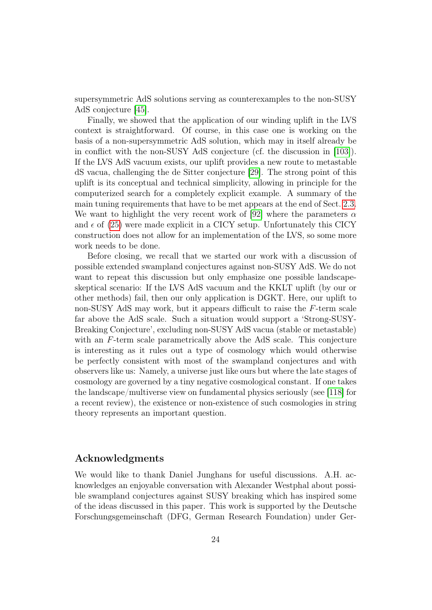supersymmetric AdS solutions serving as counterexamples to the non-SUSY AdS conjecture [\[45\]](#page-27-1).

Finally, we showed that the application of our winding uplift in the LVS context is straightforward. Of course, in this case one is working on the basis of a non-supersymmetric AdS solution, which may in itself already be in conflict with the non-SUSY AdS conjecture (cf. the discussion in [\[103\]](#page-31-10)). If the LVS AdS vacuum exists, our uplift provides a new route to metastable dS vacua, challenging the de Sitter conjecture [\[29\]](#page-26-3). The strong point of this uplift is its conceptual and technical simplicity, allowing in principle for the computerized search for a completely explicit example. A summary of the main tuning requirements that have to be met appears at the end of Sect. [2.3.](#page-8-3) We want to highlight the very recent work of [\[92\]](#page-30-5) where the parameters  $\alpha$ and  $\epsilon$  of [\(25\)](#page-10-1) were made explicit in a CICY setup. Unfortunately this CICY construction does not allow for an implementation of the LVS, so some more work needs to be done.

Before closing, we recall that we started our work with a discussion of possible extended swampland conjectures against non-SUSY AdS. We do not want to repeat this discussion but only emphasize one possible landscapeskeptical scenario: If the LVS AdS vacuum and the KKLT uplift (by our or other methods) fail, then our only application is DGKT. Here, our uplift to non-SUSY AdS may work, but it appears difficult to raise the F-term scale far above the AdS scale. Such a situation would support a 'Strong-SUSY-Breaking Conjecture', excluding non-SUSY AdS vacua (stable or metastable) with an F-term scale parametrically above the AdS scale. This conjecture is interesting as it rules out a type of cosmology which would otherwise be perfectly consistent with most of the swampland conjectures and with observers like us: Namely, a universe just like ours but where the late stages of cosmology are governed by a tiny negative cosmological constant. If one takes the landscape/multiverse view on fundamental physics seriously (see [\[118\]](#page-32-11) for a recent review), the existence or non-existence of such cosmologies in string theory represents an important question.

#### Acknowledgments

We would like to thank Daniel Junghans for useful discussions. A.H. acknowledges an enjoyable conversation with Alexander Westphal about possible swampland conjectures against SUSY breaking which has inspired some of the ideas discussed in this paper. This work is supported by the Deutsche Forschungsgemeinschaft (DFG, German Research Foundation) under Ger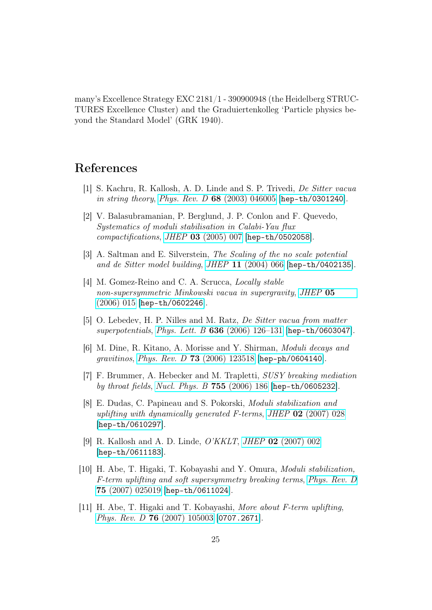many's Excellence Strategy EXC 2181/1 - 390900948 (the Heidelberg STRUC-TURES Excellence Cluster) and the Graduiertenkolleg 'Particle physics beyond the Standard Model' (GRK 1940).

### References

- <span id="page-24-0"></span>[1] S. Kachru, R. Kallosh, A. D. Linde and S. P. Trivedi, De Sitter vacua in string theory, Phys. Rev. D  $68$  [\(2003\) 046005](https://doi.org/10.1103/PhysRevD.68.046005) [[hep-th/0301240](https://arxiv.org/abs/hep-th/0301240)].
- <span id="page-24-1"></span>[2] V. Balasubramanian, P. Berglund, J. P. Conlon and F. Quevedo, Systematics of moduli stabilisation in Calabi-Yau flux compactifications, JHEP 03 [\(2005\) 007](https://doi.org/10.1088/1126-6708/2005/03/007) [[hep-th/0502058](https://arxiv.org/abs/hep-th/0502058)].
- <span id="page-24-2"></span>[3] A. Saltman and E. Silverstein, The Scaling of the no scale potential and de Sitter model building, JHEP 11 [\(2004\) 066](https://doi.org/10.1088/1126-6708/2004/11/066) [[hep-th/0402135](https://arxiv.org/abs/hep-th/0402135)].
- [4] M. Gomez-Reino and C. A. Scrucca, Locally stable non-supersymmetric Minkowski vacua in supergravity, [JHEP](https://doi.org/10.1088/1126-6708/2006/05/015) 05 [\(2006\) 015](https://doi.org/10.1088/1126-6708/2006/05/015) [[hep-th/0602246](https://arxiv.org/abs/hep-th/0602246)].
- [5] O. Lebedev, H. P. Nilles and M. Ratz, De Sitter vacua from matter superpotentials, Phys. Lett. B  $636$  (2006) 126-131 [[hep-th/0603047](https://arxiv.org/abs/hep-th/0603047)].
- [6] M. Dine, R. Kitano, A. Morisse and Y. Shirman, Moduli decays and gravitinos, Phys. Rev. D 73 [\(2006\) 123518](https://doi.org/10.1103/PhysRevD.73.123518) [[hep-ph/0604140](https://arxiv.org/abs/hep-ph/0604140)].
- [7] F. Brummer, A. Hebecker and M. Trapletti, SUSY breaking mediation by throat fields, [Nucl. Phys. B](https://doi.org/10.1016/j.nuclphysb.2006.08.002) 755 (2006) 186 [[hep-th/0605232](https://arxiv.org/abs/hep-th/0605232)].
- [8] E. Dudas, C. Papineau and S. Pokorski, Moduli stabilization and uplifting with dynamically generated F-terms, JHEP  $\overline{02}$  [\(2007\) 028](https://doi.org/10.1088/1126-6708/2007/02/028) [[hep-th/0610297](https://arxiv.org/abs/hep-th/0610297)].
- [9] R. Kallosh and A. D. Linde, O'KKLT, JHEP 02 [\(2007\) 002](https://doi.org/10.1088/1126-6708/2007/02/002) [[hep-th/0611183](https://arxiv.org/abs/hep-th/0611183)].
- [10] H. Abe, T. Higaki, T. Kobayashi and Y. Omura, Moduli stabilization, F-term uplifting and soft supersymmetry breaking terms, [Phys. Rev. D](https://doi.org/10.1103/PhysRevD.75.025019) 75 [\(2007\) 025019](https://doi.org/10.1103/PhysRevD.75.025019) [[hep-th/0611024](https://arxiv.org/abs/hep-th/0611024)].
- [11] H. Abe, T. Higaki and T. Kobayashi, More about F-term uplifting, Phys. Rev. D 76 [\(2007\) 105003](https://doi.org/10.1103/PhysRevD.76.105003) [[0707.2671](https://arxiv.org/abs/0707.2671)].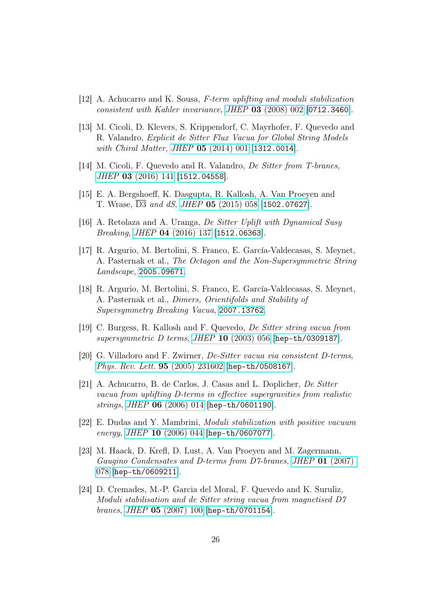- [12] A. Achucarro and K. Sousa, F-term uplifting and moduli stabilization consistent with Kahler invariance, JHEP 03 [\(2008\) 002](https://doi.org/10.1088/1126-6708/2008/03/002) [[0712.3460](https://arxiv.org/abs/0712.3460)].
- <span id="page-25-3"></span>[13] M. Cicoli, D. Klevers, S. Krippendorf, C. Mayrhofer, F. Quevedo and R. Valandro, Explicit de Sitter Flux Vacua for Global String Models with Chiral Matter, JHEP **05** [\(2014\) 001](https://doi.org/10.1007/JHEP05(2014)001) [[1312.0014](https://arxiv.org/abs/1312.0014)].
- <span id="page-25-4"></span>[14] M. Cicoli, F. Quevedo and R. Valandro, *De Sitter from T-branes*, JHEP 03 [\(2016\) 141](https://doi.org/10.1007/JHEP03(2016)141) [[1512.04558](https://arxiv.org/abs/1512.04558)].
- [15] E. A. Bergshoeff, K. Dasgupta, R. Kallosh, A. Van Proeyen and T. Wrase, D3 and dS, JHEP 05 [\(2015\) 058](https://doi.org/10.1007/JHEP05(2015)058) [[1502.07627](https://arxiv.org/abs/1502.07627)].
- [16] A. Retolaza and A. Uranga, De Sitter Uplift with Dynamical Susy Breaking, JHEP 04 [\(2016\) 137](https://doi.org/10.1007/JHEP04(2016)137) [[1512.06363](https://arxiv.org/abs/1512.06363)].
- [17] R. Argurio, M. Bertolini, S. Franco, E. García-Valdecasas, S. Meynet, A. Pasternak et al., The Octagon and the Non-Supersymmetric String Landscape, [2005.09671](https://arxiv.org/abs/2005.09671).
- <span id="page-25-0"></span>[18] R. Argurio, M. Bertolini, S. Franco, E. García-Valdecasas, S. Meynet, A. Pasternak et al., Dimers, Orientifolds and Stability of Supersymmetry Breaking Vacua, [2007.13762](https://arxiv.org/abs/2007.13762).
- <span id="page-25-1"></span>[19] C. Burgess, R. Kallosh and F. Quevedo, De Sitter string vacua from supersymmetric D terms, JHEP 10 [\(2003\) 056](https://doi.org/10.1088/1126-6708/2003/10/056) [[hep-th/0309187](https://arxiv.org/abs/hep-th/0309187)].
- [20] G. Villadoro and F. Zwirner, De-Sitter vacua via consistent D-terms, [Phys. Rev. Lett.](https://doi.org/10.1103/PhysRevLett.95.231602) 95 (2005) 231602 [[hep-th/0508167](https://arxiv.org/abs/hep-th/0508167)].
- [21] A. Achucarro, B. de Carlos, J. Casas and L. Doplicher, De Sitter vacua from uplifting D-terms in effective supergravities from realistic strings, JHEP 06 [\(2006\) 014](https://doi.org/10.1088/1126-6708/2006/06/014) [[hep-th/0601190](https://arxiv.org/abs/hep-th/0601190)].
- [22] E. Dudas and Y. Mambrini, Moduli stabilization with positive vacuum energy, *JHEP* **10** [\(2006\) 044](https://doi.org/10.1088/1126-6708/2006/10/044) [[hep-th/0607077](https://arxiv.org/abs/hep-th/0607077)].
- [23] M. Haack, D. Krefl, D. Lust, A. Van Proeyen and M. Zagermann, Gaugino Condensates and D-terms from D7-branes, JHEP 01 [\(2007\)](https://doi.org/10.1088/1126-6708/2007/01/078) [078](https://doi.org/10.1088/1126-6708/2007/01/078) [[hep-th/0609211](https://arxiv.org/abs/hep-th/0609211)].
- <span id="page-25-2"></span>[24] D. Cremades, M.-P. Garcia del Moral, F. Quevedo and K. Suruliz, Moduli stabilisation and de Sitter string vacua from magnetised D7 branes, JHEP 05 [\(2007\) 100](https://doi.org/10.1088/1126-6708/2007/05/100) [[hep-th/0701154](https://arxiv.org/abs/hep-th/0701154)].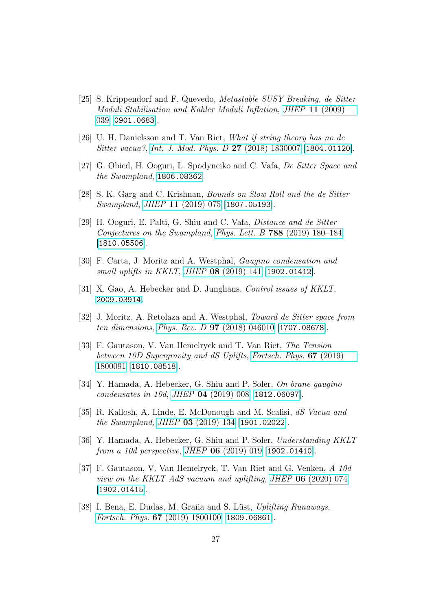- <span id="page-26-0"></span>[25] S. Krippendorf and F. Quevedo, Metastable SUSY Breaking, de Sitter Moduli Stabilisation and Kahler Moduli Inflation, JHEP 11 [\(2009\)](https://doi.org/10.1088/1126-6708/2009/11/039) [039](https://doi.org/10.1088/1126-6708/2009/11/039) [[0901.0683](https://arxiv.org/abs/0901.0683)].
- <span id="page-26-1"></span>[26] U. H. Danielsson and T. Van Riet, What if string theory has no de Sitter vacua?, [Int. J. Mod. Phys. D](https://doi.org/10.1142/S0218271818300070) 27 (2018) 1830007 [[1804.01120](https://arxiv.org/abs/1804.01120)].
- <span id="page-26-2"></span>[27] G. Obied, H. Ooguri, L. Spodyneiko and C. Vafa, De Sitter Space and the Swampland, [1806.08362](https://arxiv.org/abs/1806.08362).
- <span id="page-26-10"></span>[28] S. K. Garg and C. Krishnan, Bounds on Slow Roll and the de Sitter Swampland, JHEP 11 [\(2019\) 075](https://doi.org/10.1007/JHEP11(2019)075) [[1807.05193](https://arxiv.org/abs/1807.05193)].
- <span id="page-26-3"></span>[29] H. Ooguri, E. Palti, G. Shiu and C. Vafa, Distance and de Sitter Conjectures on the Swampland, Phys. Lett. B 788 [\(2019\) 180–184](https://doi.org/10.1016/j.physletb.2018.11.018) [[1810.05506](https://arxiv.org/abs/1810.05506)].
- <span id="page-26-4"></span>[30] F. Carta, J. Moritz and A. Westphal, Gaugino condensation and small uplifts in KKLT, JHEP 08 [\(2019\) 141](https://doi.org/10.1007/JHEP08(2019)141) [[1902.01412](https://arxiv.org/abs/1902.01412)].
- <span id="page-26-5"></span>[31] X. Gao, A. Hebecker and D. Junghans, Control issues of KKLT, [2009.03914](https://arxiv.org/abs/2009.03914).
- <span id="page-26-6"></span>[32] J. Moritz, A. Retolaza and A. Westphal, Toward de Sitter space from ten dimensions, Phys. Rev. D 97 [\(2018\) 046010](https://doi.org/10.1103/PhysRevD.97.046010) [[1707.08678](https://arxiv.org/abs/1707.08678)].
- <span id="page-26-9"></span>[33] F. Gautason, V. Van Hemelryck and T. Van Riet, The Tension between 10D Supergravity and dS Uplifts, [Fortsch. Phys.](https://doi.org/10.1002/prop.201800091) 67 (2019) [1800091](https://doi.org/10.1002/prop.201800091) [[1810.08518](https://arxiv.org/abs/1810.08518)].
- [34] Y. Hamada, A. Hebecker, G. Shiu and P. Soler, On brane gaugino condensates in 10d, JHEP 04 [\(2019\) 008](https://doi.org/10.1007/JHEP04(2019)008) [[1812.06097](https://arxiv.org/abs/1812.06097)].
- [35] R. Kallosh, A. Linde, E. McDonough and M. Scalisi, dS Vacua and the Swampland, JHEP 03 [\(2019\) 134](https://doi.org/10.1007/JHEP03(2019)134) [[1901.02022](https://arxiv.org/abs/1901.02022)].
- [36] Y. Hamada, A. Hebecker, G. Shiu and P. Soler, Understanding KKLT from a 10d perspective, JHEP 06 [\(2019\) 019](https://doi.org/10.1007/JHEP06(2019)019) [[1902.01410](https://arxiv.org/abs/1902.01410)].
- <span id="page-26-7"></span>[37] F. Gautason, V. Van Hemelryck, T. Van Riet and G. Venken, A 10d view on the KKLT AdS vacuum and uplifting, JHEP 06 [\(2020\) 074](https://doi.org/10.1007/JHEP06(2020)074) [[1902.01415](https://arxiv.org/abs/1902.01415)].
- <span id="page-26-8"></span>[38] I. Bena, E. Dudas, M. Graña and S. Lüst, Uplifting Runaways, Fortsch. Phys. 67 [\(2019\) 1800100](https://doi.org/10.1002/prop.201800100) [[1809.06861](https://arxiv.org/abs/1809.06861)].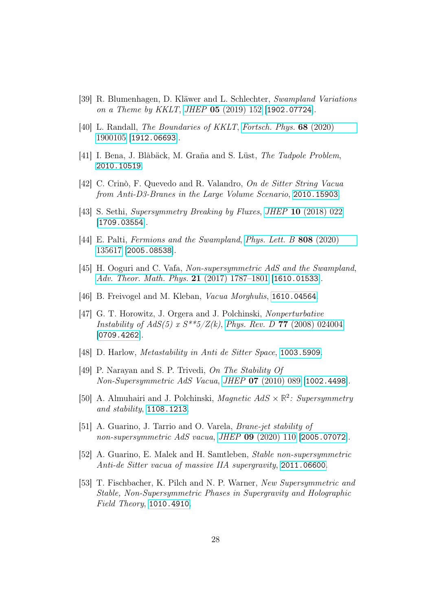- [39] R. Blumenhagen, D. Kläwer and L. Schlechter, Swampland Variations on a Theme by KKLT, JHEP **05** [\(2019\) 152](https://doi.org/10.1007/JHEP05(2019)152) [[1902.07724](https://arxiv.org/abs/1902.07724)].
- <span id="page-27-6"></span>[40] L. Randall, The Boundaries of KKLT, [Fortsch. Phys.](https://doi.org/10.1002/prop.201900105) 68 (2020) [1900105](https://doi.org/10.1002/prop.201900105) [[1912.06693](https://arxiv.org/abs/1912.06693)].
- <span id="page-27-7"></span>[41] I. Bena, J. Blåbäck, M. Graña and S. Lüst, The Tadpole Problem, [2010.10519](https://arxiv.org/abs/2010.10519).
- <span id="page-27-8"></span>[42] C. Crinò, F. Quevedo and R. Valandro, On de Sitter String Vacua from Anti-D3-Branes in the Large Volume Scenario, [2010.15903](https://arxiv.org/abs/2010.15903).
- <span id="page-27-9"></span>[43] S. Sethi, Supersymmetry Breaking by Fluxes, JHEP 10 [\(2018\) 022](https://doi.org/10.1007/JHEP10(2018)022) [[1709.03554](https://arxiv.org/abs/1709.03554)].
- <span id="page-27-0"></span>[44] E. Palti, Fermions and the Swampland, [Phys. Lett. B](https://doi.org/10.1016/j.physletb.2020.135617) 808 (2020) [135617](https://doi.org/10.1016/j.physletb.2020.135617) [[2005.08538](https://arxiv.org/abs/2005.08538)].
- <span id="page-27-1"></span>[45] H. Ooguri and C. Vafa, Non-supersymmetric AdS and the Swampland, [Adv. Theor. Math. Phys.](https://doi.org/10.4310/ATMP.2017.v21.n7.a8) 21 (2017) 1787-1801 [[1610.01533](https://arxiv.org/abs/1610.01533)].
- <span id="page-27-2"></span>[46] B. Freivogel and M. Kleban, Vacua Morghulis, [1610.04564](https://arxiv.org/abs/1610.04564).
- <span id="page-27-3"></span>[47] G. T. Horowitz, J. Orgera and J. Polchinski, Nonperturbative Instability of  $AdS(5)$  x  $S^{**}5/Z(k)$ , Phys. Rev. D 77 [\(2008\) 024004](https://doi.org/10.1103/PhysRevD.77.024004) [[0709.4262](https://arxiv.org/abs/0709.4262)].
- <span id="page-27-10"></span>[48] D. Harlow, *Metastability in Anti de Sitter Space*, [1003.5909](https://arxiv.org/abs/1003.5909).
- <span id="page-27-4"></span>[49] P. Narayan and S. P. Trivedi, On The Stability Of  $Non-Supersymmetric AdS$  Vacua, JHEP 07 [\(2010\) 089](https://doi.org/10.1007/JHEP07(2010)089) [[1002.4498](https://arxiv.org/abs/1002.4498)].
- [50] A. Almuhairi and J. Polchinski, Magnetic  $AdS \times \mathbb{R}^2$ : Supersymmetry and stability, [1108.1213](https://arxiv.org/abs/1108.1213).
- <span id="page-27-11"></span>[51] A. Guarino, J. Tarrio and O. Varela, Brane-jet stability of non-supersymmetric AdS vacua, JHEP **09** [\(2020\) 110](https://doi.org/10.1007/JHEP09(2020)110) [[2005.07072](https://arxiv.org/abs/2005.07072)].
- <span id="page-27-5"></span>[52] A. Guarino, E. Malek and H. Samtleben, Stable non-supersymmetric Anti-de Sitter vacua of massive IIA supergravity, [2011.06600](https://arxiv.org/abs/2011.06600).
- <span id="page-27-12"></span>[53] T. Fischbacher, K. Pilch and N. P. Warner, New Supersymmetric and Stable, Non-Supersymmetric Phases in Supergravity and Holographic Field Theory, [1010.4910](https://arxiv.org/abs/1010.4910).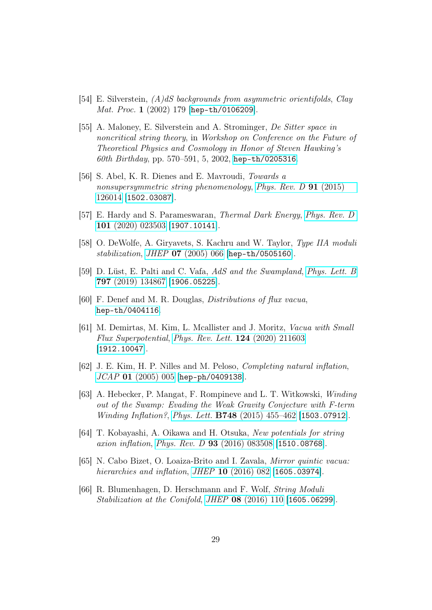- <span id="page-28-4"></span>[54] E. Silverstein,  $(A)dS$  backgrounds from asymmetric orientifolds, Clay Mat. Proc. 1 (2002) 179 [[hep-th/0106209](https://arxiv.org/abs/hep-th/0106209)].
- [55] A. Maloney, E. Silverstein and A. Strominger, De Sitter space in noncritical string theory, in Workshop on Conference on the Future of Theoretical Physics and Cosmology in Honor of Steven Hawking's 60th Birthday, pp. 570–591, 5, 2002, [hep-th/0205316](https://arxiv.org/abs/hep-th/0205316).
- <span id="page-28-5"></span>[56] S. Abel, K. R. Dienes and E. Mavroudi, Towards a nonsupersymmetric string phenomenology, [Phys. Rev. D](https://doi.org/10.1103/PhysRevD.91.126014) 91 (2015) [126014](https://doi.org/10.1103/PhysRevD.91.126014) [[1502.03087](https://arxiv.org/abs/1502.03087)].
- <span id="page-28-6"></span>[57] E. Hardy and S. Parameswaran, Thermal Dark Energy, [Phys. Rev. D](https://doi.org/10.1103/PhysRevD.101.023503) 101 [\(2020\) 023503](https://doi.org/10.1103/PhysRevD.101.023503) [[1907.10141](https://arxiv.org/abs/1907.10141)].
- <span id="page-28-0"></span>[58] O. DeWolfe, A. Giryavets, S. Kachru and W. Taylor, Type IIA moduli stabilization, JHEP 07 [\(2005\) 066](https://doi.org/10.1088/1126-6708/2005/07/066) [[hep-th/0505160](https://arxiv.org/abs/hep-th/0505160)].
- <span id="page-28-1"></span>[59] D. Lüst, E. Palti and C. Vafa, AdS and the Swampland, [Phys. Lett. B](https://doi.org/10.1016/j.physletb.2019.134867) 797 [\(2019\) 134867](https://doi.org/10.1016/j.physletb.2019.134867) [[1906.05225](https://arxiv.org/abs/1906.05225)].
- <span id="page-28-2"></span>[60] F. Denef and M. R. Douglas, Distributions of flux vacua, [hep-th/0404116](https://arxiv.org/abs/hep-th/0404116).
- <span id="page-28-3"></span>[61] M. Demirtas, M. Kim, L. Mcallister and J. Moritz, Vacua with Small Flux Superpotential, [Phys. Rev. Lett.](https://doi.org/10.1103/PhysRevLett.124.211603) 124 (2020) 211603 [[1912.10047](https://arxiv.org/abs/1912.10047)].
- <span id="page-28-7"></span>[62] J. E. Kim, H. P. Nilles and M. Peloso, Completing natural inflation, JCAP 01 [\(2005\) 005](https://doi.org/10.1088/1475-7516/2005/01/005) [[hep-ph/0409138](https://arxiv.org/abs/hep-ph/0409138)].
- <span id="page-28-8"></span>[63] A. Hebecker, P. Mangat, F. Rompineve and L. T. Witkowski, Winding out of the Swamp: Evading the Weak Gravity Conjecture with F-term Winding Inflation?, Phys. Lett. B748 [\(2015\) 455–462](https://doi.org/10.1016/j.physletb.2015.07.026) [[1503.07912](https://arxiv.org/abs/1503.07912)].
- <span id="page-28-9"></span>[64] T. Kobayashi, A. Oikawa and H. Otsuka, New potentials for string axion inflation, Phys. Rev. D 93 [\(2016\) 083508](https://doi.org/10.1103/PhysRevD.93.083508) [[1510.08768](https://arxiv.org/abs/1510.08768)].
- [65] N. Cabo Bizet, O. Loaiza-Brito and I. Zavala, Mirror quintic vacua: hierarchies and inflation, JHEP 10 [\(2016\) 082](https://doi.org/10.1007/JHEP10(2016)082) [[1605.03974](https://arxiv.org/abs/1605.03974)].
- [66] R. Blumenhagen, D. Herschmann and F. Wolf, String Moduli Stabilization at the Conifold, JHEP 08 [\(2016\) 110](https://doi.org/10.1007/JHEP08(2016)110) [[1605.06299](https://arxiv.org/abs/1605.06299)].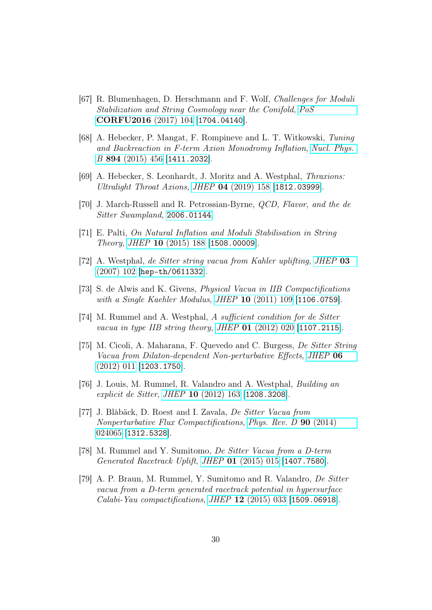- <span id="page-29-0"></span>[67] R. Blumenhagen, D. Herschmann and F. Wolf, Challenges for Moduli Stabilization and String Cosmology near the Conifold, [PoS](https://doi.org/10.22323/1.292.0104) [CORFU2016](https://doi.org/10.22323/1.292.0104) (2017) 104 [[1704.04140](https://arxiv.org/abs/1704.04140)].
- <span id="page-29-1"></span>[68] A. Hebecker, P. Mangat, F. Rompineve and L. T. Witkowski, Tuning and Backreaction in F-term Axion Monodromy Inflation, [Nucl. Phys.](https://doi.org/10.1016/j.nuclphysb.2015.03.015) B 894 [\(2015\) 456](https://doi.org/10.1016/j.nuclphysb.2015.03.015) [[1411.2032](https://arxiv.org/abs/1411.2032)].
- <span id="page-29-6"></span>[69] A. Hebecker, S. Leonhardt, J. Moritz and A. Westphal, Thraxions: Ultralight Throat Axions, JHEP 04 [\(2019\) 158](https://doi.org/10.1007/JHEP04(2019)158) [[1812.03999](https://arxiv.org/abs/1812.03999)].
- <span id="page-29-2"></span>[70] J. March-Russell and R. Petrossian-Byrne, QCD, Flavor, and the de Sitter Swampland, [2006.01144](https://arxiv.org/abs/2006.01144).
- <span id="page-29-3"></span>[71] E. Palti, On Natural Inflation and Moduli Stabilisation in String Theory, JHEP 10 [\(2015\) 188](https://doi.org/10.1007/JHEP10(2015)188) [[1508.00009](https://arxiv.org/abs/1508.00009)].
- <span id="page-29-4"></span>[72] A. Westphal, de Sitter string vacua from Kahler uplifting, [JHEP](https://doi.org/10.1088/1126-6708/2007/03/102) 03 [\(2007\) 102](https://doi.org/10.1088/1126-6708/2007/03/102) [[hep-th/0611332](https://arxiv.org/abs/hep-th/0611332)].
- [73] S. de Alwis and K. Givens, Physical Vacua in IIB Compactifications with a Single Kaehler Modulus, JHEP 10 [\(2011\) 109](https://doi.org/10.1007/JHEP10(2011)109) [[1106.0759](https://arxiv.org/abs/1106.0759)].
- <span id="page-29-7"></span>[74] M. Rummel and A. Westphal, A sufficient condition for de Sitter vacua in type IIB string theory, JHEP 01 [\(2012\) 020](https://doi.org/10.1007/JHEP01(2012)020) [[1107.2115](https://arxiv.org/abs/1107.2115)].
- [75] M. Cicoli, A. Maharana, F. Quevedo and C. Burgess, De Sitter String Vacua from Dilaton-dependent Non-perturbative Effects, [JHEP](https://doi.org/10.1007/JHEP06(2012)011) 06 [\(2012\) 011](https://doi.org/10.1007/JHEP06(2012)011) [[1203.1750](https://arxiv.org/abs/1203.1750)].
- [76] J. Louis, M. Rummel, R. Valandro and A. Westphal, Building an explicit de Sitter, JHEP 10 [\(2012\) 163](https://doi.org/10.1007/JHEP10(2012)163) [[1208.3208](https://arxiv.org/abs/1208.3208)].
- [77] J. Blåbäck, D. Roest and I. Zavala, De Sitter Vacua from Nonperturbative Flux Compactifications, [Phys. Rev. D](https://doi.org/10.1103/PhysRevD.90.024065) 90 (2014) [024065](https://doi.org/10.1103/PhysRevD.90.024065) [[1312.5328](https://arxiv.org/abs/1312.5328)].
- <span id="page-29-8"></span>[78] M. Rummel and Y. Sumitomo, De Sitter Vacua from a D-term Generated Racetrack Uplift, JHEP 01 [\(2015\) 015](https://doi.org/10.1007/JHEP01(2015)015) [[1407.7580](https://arxiv.org/abs/1407.7580)].
- <span id="page-29-5"></span>[79] A. P. Braun, M. Rummel, Y. Sumitomo and R. Valandro, De Sitter vacua from a D-term generated racetrack potential in hypersurface Calabi-Yau compactifications, JHEP 12 [\(2015\) 033](https://doi.org/10.1007/JHEP12(2015)033) [[1509.06918](https://arxiv.org/abs/1509.06918)].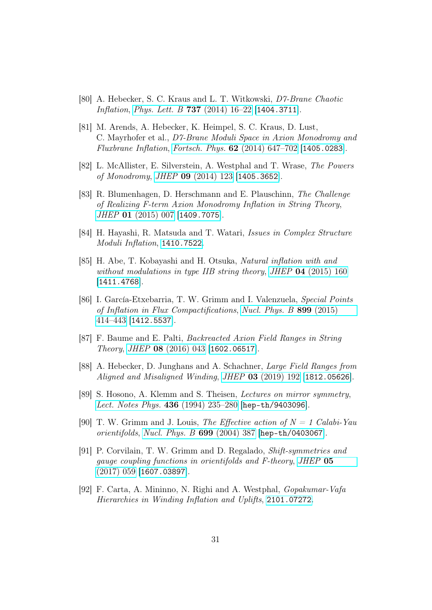- <span id="page-30-0"></span>[80] A. Hebecker, S. C. Kraus and L. T. Witkowski, D7-Brane Chaotic Inflation, [Phys. Lett. B](https://doi.org/10.1016/j.physletb.2014.08.028) 737 (2014)  $16-22$  [[1404.3711](https://arxiv.org/abs/1404.3711)].
- <span id="page-30-6"></span>[81] M. Arends, A. Hebecker, K. Heimpel, S. C. Kraus, D. Lust, C. Mayrhofer et al., D7-Brane Moduli Space in Axion Monodromy and Fluxbrane Inflation, Fortsch. Phys. 62 [\(2014\) 647–702](https://doi.org/10.1002/prop.201400045) [[1405.0283](https://arxiv.org/abs/1405.0283)].
- [82] L. McAllister, E. Silverstein, A. Westphal and T. Wrase, The Powers of Monodromy, JHEP 09 [\(2014\) 123](https://doi.org/10.1007/JHEP09(2014)123) [[1405.3652](https://arxiv.org/abs/1405.3652)].
- [83] R. Blumenhagen, D. Herschmann and E. Plauschinn, The Challenge of Realizing F-term Axion Monodromy Inflation in String Theory, JHEP 01 [\(2015\) 007](https://doi.org/10.1007/JHEP01(2015)007) [[1409.7075](https://arxiv.org/abs/1409.7075)].
- [84] H. Hayashi, R. Matsuda and T. Watari, Issues in Complex Structure Moduli Inflation, [1410.7522](https://arxiv.org/abs/1410.7522).
- [85] H. Abe, T. Kobayashi and H. Otsuka, Natural inflation with and without modulations in type IIB string theory, JHEP 04 [\(2015\) 160](https://doi.org/10.1007/JHEP04(2015)160) [[1411.4768](https://arxiv.org/abs/1411.4768)].
- [86] I. García-Etxebarria, T. W. Grimm and I. Valenzuela, Special Points of Inflation in Flux Compactifications, [Nucl. Phys. B](https://doi.org/10.1016/j.nuclphysb.2015.08.008) 899 (2015) [414–443](https://doi.org/10.1016/j.nuclphysb.2015.08.008) [[1412.5537](https://arxiv.org/abs/1412.5537)].
- [87] F. Baume and E. Palti, Backreacted Axion Field Ranges in String Theory, JHEP 08 [\(2016\) 043](https://doi.org/10.1007/JHEP08(2016)043) [[1602.06517](https://arxiv.org/abs/1602.06517)].
- <span id="page-30-1"></span>[88] A. Hebecker, D. Junghans and A. Schachner, Large Field Ranges from Aligned and Misaligned Winding, JHEP 03 [\(2019\) 192](https://doi.org/10.1007/JHEP03(2019)192) [[1812.05626](https://arxiv.org/abs/1812.05626)].
- <span id="page-30-2"></span>[89] S. Hosono, A. Klemm and S. Theisen, Lectures on mirror symmetry, [Lect. Notes Phys.](https://doi.org/10.1007/3-540-58453-6_13) 436 (1994) 235–280 [[hep-th/9403096](https://arxiv.org/abs/hep-th/9403096)].
- <span id="page-30-3"></span>[90] T. W. Grimm and J. Louis, The Effective action of  $N = 1$  Calabi-Yau orientifolds, [Nucl. Phys. B](https://doi.org/10.1016/j.nuclphysb.2004.08.005) 699 (2004) 387 [[hep-th/0403067](https://arxiv.org/abs/hep-th/0403067)].
- <span id="page-30-4"></span>[91] P. Corvilain, T. W. Grimm and D. Regalado, Shift-symmetries and gauge coupling functions in orientifolds and F-theory, [JHEP](https://doi.org/10.1007/JHEP05(2017)059) 05 [\(2017\) 059](https://doi.org/10.1007/JHEP05(2017)059) [[1607.03897](https://arxiv.org/abs/1607.03897)].
- <span id="page-30-5"></span>[92] F. Carta, A. Mininno, N. Righi and A. Westphal, Gopakumar-Vafa Hierarchies in Winding Inflation and Uplifts, [2101.07272](https://arxiv.org/abs/2101.07272).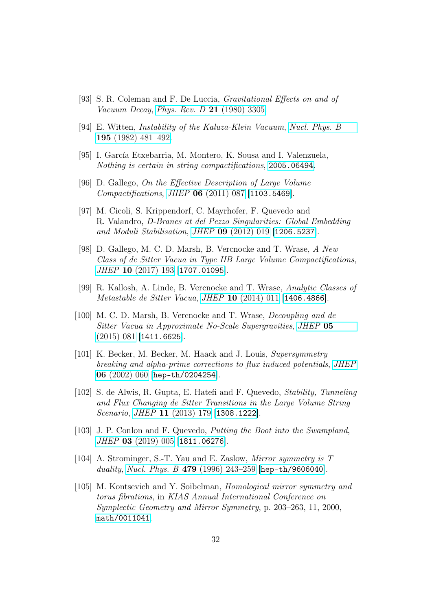- <span id="page-31-0"></span>[93] S. R. Coleman and F. De Luccia, Gravitational Effects on and of Vacuum Decay, [Phys. Rev. D](https://doi.org/10.1103/PhysRevD.21.3305) **21** (1980) 3305.
- <span id="page-31-6"></span>[94] E. Witten, Instability of the Kaluza-Klein Vacuum, [Nucl. Phys. B](https://doi.org/10.1016/0550-3213(82)90007-4) 195 [\(1982\) 481–492.](https://doi.org/10.1016/0550-3213(82)90007-4)
- <span id="page-31-7"></span>[95] I. García Etxebarria, M. Montero, K. Sousa and I. Valenzuela, Nothing is certain in string compactifications, [2005.06494](https://arxiv.org/abs/2005.06494).
- <span id="page-31-1"></span>[96] D. Gallego, On the Effective Description of Large Volume Compactifications, JHEP 06 [\(2011\) 087](https://doi.org/10.1007/JHEP06(2011)087) [[1103.5469](https://arxiv.org/abs/1103.5469)].
- <span id="page-31-2"></span>[97] M. Cicoli, S. Krippendorf, C. Mayrhofer, F. Quevedo and R. Valandro, D-Branes at del Pezzo Singularities: Global Embedding and Moduli Stabilisation, JHEP 09 [\(2012\) 019](https://doi.org/10.1007/JHEP09(2012)019) [[1206.5237](https://arxiv.org/abs/1206.5237)].
- <span id="page-31-3"></span>[98] D. Gallego, M. C. D. Marsh, B. Vercnocke and T. Wrase, A New Class of de Sitter Vacua in Type IIB Large Volume Compactifications, JHEP 10 [\(2017\) 193](https://doi.org/10.1007/JHEP10(2017)193) [[1707.01095](https://arxiv.org/abs/1707.01095)].
- <span id="page-31-4"></span>[99] R. Kallosh, A. Linde, B. Vercnocke and T. Wrase, Analytic Classes of Metastable de Sitter Vacua, JHEP 10 [\(2014\) 011](https://doi.org/10.1007/JHEP10(2014)011) [[1406.4866](https://arxiv.org/abs/1406.4866)].
- <span id="page-31-5"></span>[100] M. C. D. Marsh, B. Vercnocke and T. Wrase, Decoupling and de Sitter Vacua in Approximate No-Scale Supergravities, [JHEP](https://doi.org/10.1007/JHEP05(2015)081) 05 [\(2015\) 081](https://doi.org/10.1007/JHEP05(2015)081) [[1411.6625](https://arxiv.org/abs/1411.6625)].
- <span id="page-31-8"></span>[101] K. Becker, M. Becker, M. Haack and J. Louis, Supersymmetry breaking and alpha-prime corrections to flux induced potentials, [JHEP](https://doi.org/10.1088/1126-6708/2002/06/060) 06 [\(2002\) 060](https://doi.org/10.1088/1126-6708/2002/06/060) [[hep-th/0204254](https://arxiv.org/abs/hep-th/0204254)].
- <span id="page-31-9"></span>[102] S. de Alwis, R. Gupta, E. Hatefi and F. Quevedo, Stability, Tunneling and Flux Changing de Sitter Transitions in the Large Volume String Scenario, JHEP 11 [\(2013\) 179](https://doi.org/10.1007/JHEP11(2013)179) [[1308.1222](https://arxiv.org/abs/1308.1222)].
- <span id="page-31-10"></span>[103] J. P. Conlon and F. Quevedo, Putting the Boot into the Swampland, JHEP 03 [\(2019\) 005](https://doi.org/10.1007/JHEP03(2019)005) [[1811.06276](https://arxiv.org/abs/1811.06276)].
- <span id="page-31-11"></span>[104] A. Strominger, S.-T. Yau and E. Zaslow, Mirror symmetry is T duality, Nucl. Phys. B 479 (1996) 243-259 [[hep-th/9606040](https://arxiv.org/abs/hep-th/9606040)].
- [105] M. Kontsevich and Y. Soibelman, Homological mirror symmetry and torus fibrations, in KIAS Annual International Conference on Symplectic Geometry and Mirror Symmetry, p. 203–263, 11, 2000, [math/0011041](https://arxiv.org/abs/math/0011041).